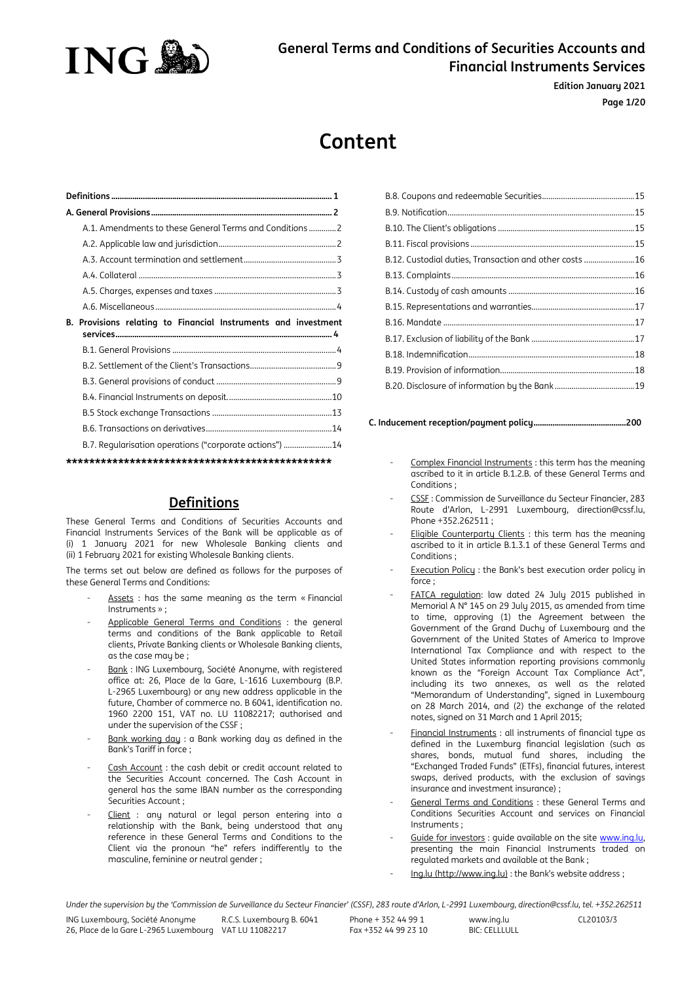

**Edition January 2021 Page 1/20**

# **Content**

| A.1. Amendments to these General Terms and Conditions  2          |  |
|-------------------------------------------------------------------|--|
|                                                                   |  |
|                                                                   |  |
|                                                                   |  |
|                                                                   |  |
|                                                                   |  |
| Provisions relating to Financial Instruments and investment<br>В. |  |
|                                                                   |  |
|                                                                   |  |
|                                                                   |  |
|                                                                   |  |
|                                                                   |  |
|                                                                   |  |
|                                                                   |  |
| B.7. Reqularisation operations ("corporate actions") 14           |  |

## **Definitions**

<span id="page-0-0"></span>These General Terms and Conditions of Securities Accounts and Financial Instruments Services of the Bank will be applicable as of (i) 1 January 2021 for new Wholesale Banking clients and (ii) 1 February 2021 for existing Wholesale Banking clients.

The terms set out below are defined as follows for the purposes of these General Terms and Conditions:

- Assets : has the same meaning as the term « Financial Instruments » ;
- Applicable General Terms and Conditions : the general terms and conditions of the Bank applicable to Retail clients, Private Banking clients or Wholesale Banking clients, as the case may be ;
- Bank : ING Luxembourg, Société Anonyme, with registered office at: 26, Place de la Gare, L-1616 Luxembourg (B.P. L-2965 Luxembourg) or any new address applicable in the future, Chamber of commerce no. B 6041, identification no. 1960 2200 151, VAT no. LU 11082217; authorised and under the supervision of the CSSF ;
- Bank working day : a Bank working day as defined in the Bank's Tariff in force ;
- Cash Account : the cash debit or credit account related to the Securities Account concerned. The Cash Account in general has the same IBAN number as the corresponding Securities Account ;
- Client : any natural or legal person entering into a relationship with the Bank, being understood that any reference in these General Terms and Conditions to the Client via the pronoun "he" refers indifferently to the masculine, feminine or neutral gender ;

| B.12. Custodial duties, Transaction and other costs 16 |  |
|--------------------------------------------------------|--|
|                                                        |  |
|                                                        |  |
|                                                        |  |
|                                                        |  |
|                                                        |  |
|                                                        |  |
|                                                        |  |
|                                                        |  |
|                                                        |  |

**[C. Inducement reception/payment policy............................................200](#page-19-0)**

- Complex Financial Instruments : this term has the meaning ascribed to it in article B.1.2.B. of these General Terms and Conditions ;
- CSSF : Commission de Surveillance du Secteur Financier, 283 Route d'Arlon, L-2991 Luxembourg, direction@cssf.lu, Phone +352.262511  $\cdot$
- Eligible Counterparty Clients : this term has the meaning ascribed to it in article B.1.3.1 of these General Terms and Conditions ;
- Execution Policy : the Bank's best execution order policy in force ;
- FATCA regulation: law dated 24 July 2015 published in Memorial A N° 145 on 29 July 2015, as amended from time to time, approving (1) the Agreement between the Government of the Grand Duchy of Luxembourg and the Government of the United States of America to Improve International Tax Compliance and with respect to the United States information reporting provisions commonly known as the "Foreign Account Tax Compliance Act", including its two annexes, as well as the related "Memorandum of Understanding", signed in Luxembourg on 28 March 2014, and (2) the exchange of the related notes, signed on 31 March and 1 April 2015;
- Financial Instruments : all instruments of financial type as defined in the Luxemburg financial legislation (such as shares, bonds, mutual fund shares, including the "Exchanged Traded Funds" (ETFs), financial futures, interest swaps, derived products, with the exclusion of savings insurance and investment insurance) ;
- General Terms and Conditions : these General Terms and Conditions Securities Account and services on Financial Instruments ;
- Guide for investors : quide available on the site www.ing.lu, presenting the main Financial Instruments traded on regulated markets and available at the Bank ;
- Ing.lu [\(http://www.ing.lu\)](http://www.ing.lu/) : the Bank's website address ;

*Under the supervision by the 'Commission de Surveillance du Secteur Financier' (CSSF), 283 route d'Arlon, L-2991 Luxembourg, direction@cssf.lu, tel. +352.262511*

www.ing.lu  $BIC: CFI\overline{I}IIIII$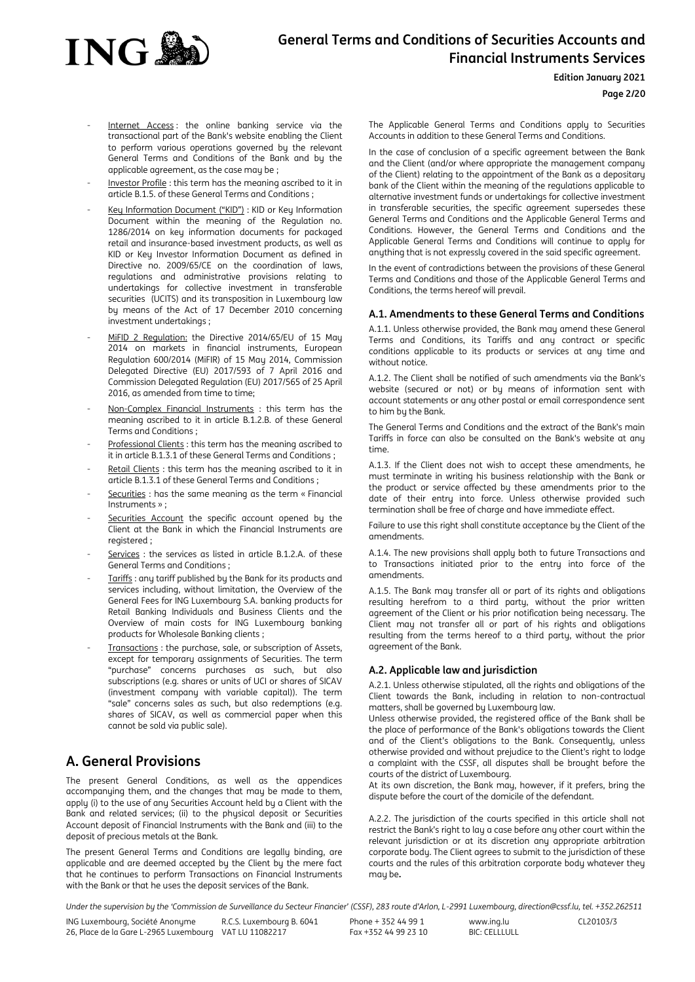

#### **Edition January 2021**

## **Page 2/20**

- Internet Access: the online banking service via the transactional part of the Bank's website enabling the Client to perform various operations governed by the relevant General Terms and Conditions of the Bank and by the applicable agreement, as the case may be ;
- Investor Profile : this term has the meaning ascribed to it in article B.1.5. of these General Terms and Conditions ;
- Key Information Document ("KID") : KID or Key Information Document within the meaning of the Regulation no. 1286/2014 on key information documents for packaged retail and insurance-based investment products, as well as KID or Key Investor Information Document as defined in Directive no. 2009/65/CE on the coordination of laws, regulations and administrative provisions relating to undertakings for collective investment in transferable securities (UCITS) and its transposition in Luxembourg law by means of the Act of 17 December 2010 concerning investment undertakings ;
- MiFID 2 Regulation: the Directive 2014/65/EU of 15 May 2014 on markets in financial instruments, European Regulation 600/2014 (MiFIR) of 15 May 2014, Commission Delegated Directive (EU) 2017/593 of 7 April 2016 and Commission Delegated Regulation (EU) 2017/565 of 25 April 2016, as amended from time to time;
- Non-Complex Financial Instruments : this term has the meaning ascribed to it in article B.1.2.B. of these General Terms and Conditions ;
- Professional Clients : this term has the meaning ascribed to it in article B.1.3.1 of these General Terms and Conditions ;
- Retail Clients : this term has the meaning ascribed to it in article B.1.3.1 of these General Terms and Conditions ;
- Securities : has the same meaning as the term « Financial Instruments » ;
- Securities Account the specific account opened bu the Client at the Bank in which the Financial Instruments are registered :
- Services : the services as listed in article B.1.2.A. of these General Terms and Conditions ;
- Tariffs : any tariff published by the Bank for its products and services including, without limitation, the Overview of the General Fees for ING Luxembourg S.A. banking products for Retail Banking Individuals and Business Clients and the Overview of main costs for ING Luxembourg banking products for Wholesale Banking clients ;
- Transactions : the purchase, sale, or subscription of Assets, except for temporary assignments of Securities. The term "purchase" concerns purchases as such, but also subscriptions (e.g. shares or units of UCI or shares of SICAV (investment company with variable capital)). The term "sale" concerns sales as such, but also redemptions (e.g. shares of SICAV, as well as commercial paper when this cannot be sold via public sale).

## <span id="page-1-0"></span>**A. General Provisions**

The present General Conditions, as well as the appendices accompanying them, and the changes that may be made to them, apply (i) to the use of any Securities Account held by a Client with the Bank and related services; (ii) to the physical deposit or Securities Account deposit of Financial Instruments with the Bank and (iii) to the deposit of precious metals at the Bank.

The present General Terms and Conditions are legally binding, are applicable and are deemed accepted by the Client by the mere fact that he continues to perform Transactions on Financial Instruments with the Bank or that he uses the deposit services of the Bank.

The Applicable General Terms and Conditions apply to Securities Accounts in addition to these General Terms and Conditions.

In the case of conclusion of a specific agreement between the Bank and the Client (and/or where appropriate the management company of the Client) relating to the appointment of the Bank as a depositary bank of the Client within the meaning of the regulations applicable to alternative investment funds or undertakings for collective investment in transferable securities, the specific agreement supersedes these General Terms and Conditions and the Applicable General Terms and Conditions. However, the General Terms and Conditions and the Applicable General Terms and Conditions will continue to apply for anything that is not expressly covered in the said specific agreement.

In the event of contradictions between the provisions of these General Terms and Conditions and those of the Applicable General Terms and Conditions, the terms hereof will prevail.

## <span id="page-1-1"></span>**A.1. Amendments to these General Terms and Conditions**

A.1.1. Unless otherwise provided, the Bank may amend these General Terms and Conditions, its Tariffs and any contract or specific conditions applicable to its products or services at any time and without notice.

A.1.2. The Client shall be notified of such amendments via the Bank's website (secured or not) or by means of information sent with account statements or any other postal or email correspondence sent to him by the Bank.

The General Terms and Conditions and the extract of the Bank's main Tariffs in force can also be consulted on the Bank's website at any time.

A.1.3. If the Client does not wish to accept these amendments, he must terminate in writing his business relationship with the Bank or the product or service affected by these amendments prior to the date of their entry into force. Unless otherwise provided such termination shall be free of charge and have immediate effect.

Failure to use this right shall constitute acceptance by the Client of the amendments.

A.1.4. The new provisions shall apply both to future Transactions and to Transactions initiated prior to the entry into force of the amendments.

A.1.5. The Bank may transfer all or part of its rights and obligations resulting herefrom to a third party, without the prior written agreement of the Client or his prior notification being necessary. The Client may not transfer all or part of his rights and obligations resulting from the terms hereof to a third party, without the prior agreement of the Bank.

## <span id="page-1-2"></span>**A.2. Applicable law and jurisdiction**

A.2.1. Unless otherwise stipulated, all the rights and obligations of the Client towards the Bank, including in relation to non-contractual matters, shall be governed by Luxembourg law.

Unless otherwise provided, the registered office of the Bank shall be the place of performance of the Bank's obligations towards the Client and of the Client's obligations to the Bank. Consequently, unless otherwise provided and without prejudice to the Client's right to lodge a complaint with the CSSF, all disputes shall be brought before the courts of the district of Luxembourg.

At its own discretion, the Bank may, however, if it prefers, bring the dispute before the court of the domicile of the defendant.

A.2.2. The jurisdiction of the courts specified in this article shall not restrict the Bank's right to lay a case before any other court within the relevant jurisdiction or at its discretion any appropriate arbitration corporate body. The Client agrees to submit to the jurisdiction of these courts and the rules of this arbitration corporate body whatever they may be**.**

Under the supervision by the 'Commission de Surveillance du Secteur Financier' (CSSF), 283 route d'Arlon, L-2991 Luxembourg, direction@cssf.lu, tel. +352.262511

ING Luxembourg, Société Anonyme 26, Place de la Gare L-2965 Luxembourg VAT LU 11082217 R.C.S. Luxembourg B. 6041 Phone + 352 44 99 1 Fax +352 44 99 23 10 www.ing.lu BIC: CELLLULL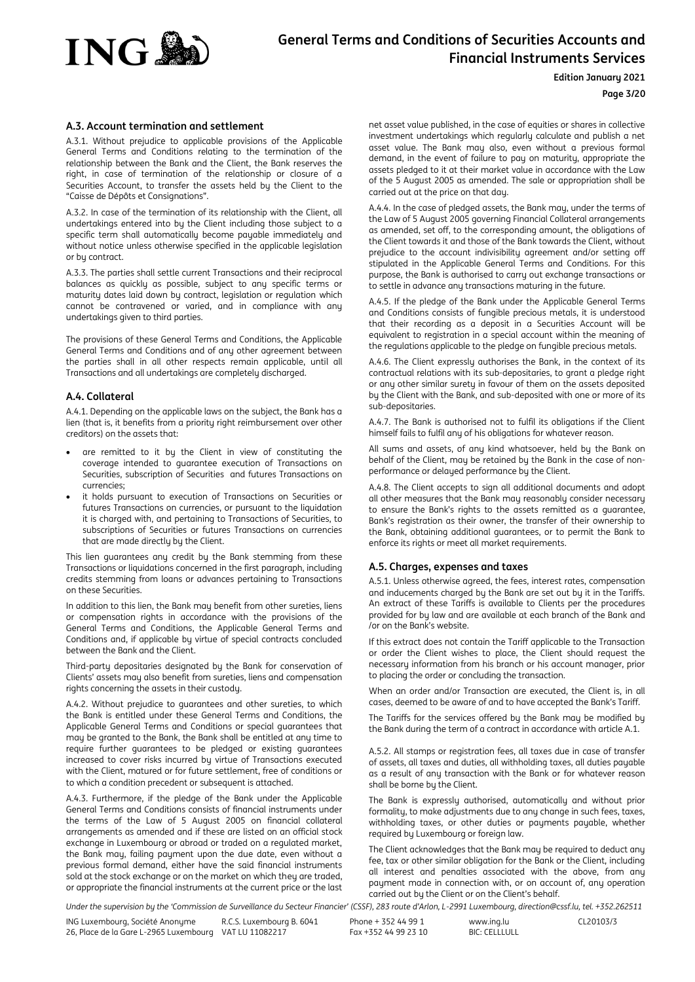

#### **Edition January 2021**

**Page 3/20**

## <span id="page-2-0"></span>**A.3. Account termination and settlement**

A.3.1. Without prejudice to applicable provisions of the Applicable General Terms and Conditions relating to the termination of the relationship between the Bank and the Client, the Bank reserves the right, in case of termination of the relationship or closure of a Securities Account, to transfer the assets held by the Client to the "Caisse de Dépôts et Consignations".

A.3.2. In case of the termination of its relationship with the Client, all undertakings entered into by the Client including those subject to a specific term shall automatically become payable immediately and without notice unless otherwise specified in the applicable legislation or by contract.

A.3.3. The parties shall settle current Transactions and their reciprocal balances as quickly as possible, subject to any specific terms or maturity dates laid down by contract, legislation or regulation which cannot be contravened or varied, and in compliance with any undertakings given to third parties.

The provisions of these General Terms and Conditions, the Applicable General Terms and Conditions and of any other agreement between the parties shall in all other respects remain applicable, until all Transactions and all undertakings are completely discharged.

### <span id="page-2-1"></span>**A.4. Collateral**

A.4.1. Depending on the applicable laws on the subject, the Bank has a lien (that is, it benefits from a priority right reimbursement over other creditors) on the assets that:

- are remitted to it by the Client in view of constituting the coverage intended to guarantee execution of Transactions on Securities, subscription of Securities and futures Transactions on currencies;
- it holds pursuant to execution of Transactions on Securities or futures Transactions on currencies, or pursuant to the liquidation it is charged with, and pertaining to Transactions of Securities, to subscriptions of Securities or futures Transactions on currencies that are made directly by the Client.

This lien guarantees any credit by the Bank stemming from these Transactions or liquidations concerned in the first paragraph, including credits stemming from loans or advances pertaining to Transactions on these Securities.

In addition to this lien, the Bank may benefit from other sureties, liens or compensation rights in accordance with the provisions of the General Terms and Conditions, the Applicable General Terms and Conditions and, if applicable by virtue of special contracts concluded between the Bank and the Client.

Third-party depositaries designated by the Bank for conservation of Clients' assets may also benefit from sureties, liens and compensation rights concerning the assets in their custody.

A.4.2. Without prejudice to guarantees and other sureties, to which the Bank is entitled under these General Terms and Conditions, the Applicable General Terms and Conditions or special guarantees that may be granted to the Bank, the Bank shall be entitled at any time to require further guarantees to be pledged or existing guarantees increased to cover risks incurred by virtue of Transactions executed with the Client, matured or for future settlement, free of conditions or to which a condition precedent or subsequent is attached.

A.4.3. Furthermore, if the pledge of the Bank under the Applicable General Terms and Conditions consists of financial instruments under the terms of the Law of 5 August 2005 on financial collateral arrangements as amended and if these are listed on an official stock exchange in Luxembourg or abroad or traded on a regulated market, the Bank may, failing payment upon the due date, even without a previous formal demand, either have the said financial instruments sold at the stock exchange or on the market on which they are traded, or appropriate the financial instruments at the current price or the last net asset value published, in the case of equities or shares in collective investment undertakings which regularly calculate and publish a net asset value. The Bank may also, even without a previous formal demand, in the event of failure to pay on maturity, appropriate the assets pledged to it at their market value in accordance with the Law of the 5 August 2005 as amended. The sale or appropriation shall be carried out at the price on that day.

A.4.4. In the case of pledged assets, the Bank may, under the terms of the Law of 5 August 2005 governing Financial Collateral arrangements as amended, set off, to the corresponding amount, the obligations of the Client towards it and those of the Bank towards the Client, without prejudice to the account indivisibility agreement and/or setting off stipulated in the Applicable General Terms and Conditions. For this purpose, the Bank is authorised to carry out exchange transactions or to settle in advance any transactions maturing in the future.

A.4.5. If the pledge of the Bank under the Applicable General Terms and Conditions consists of fungible precious metals, it is understood that their recording as a deposit in a Securities Account will be equivalent to registration in a special account within the meaning of the regulations applicable to the pledge on fungible precious metals.

A.4.6. The Client expressly authorises the Bank, in the context of its contractual relations with its sub-depositaries, to grant a pledge right or any other similar surety in favour of them on the assets deposited by the Client with the Bank, and sub-deposited with one or more of its sub-depositaries.

A.4.7. The Bank is authorised not to fulfil its obligations if the Client himself fails to fulfil any of his obligations for whatever reason.

All sums and assets, of any kind whatsoever, held by the Bank on behalf of the Client, may be retained by the Bank in the case of nonperformance or delayed performance by the Client.

A.4.8. The Client accepts to sign all additional documents and adopt all other measures that the Bank may reasonably consider necessary to ensure the Bank's rights to the assets remitted as a guarantee, Bank's registration as their owner, the transfer of their ownership to the Bank, obtaining additional guarantees, or to permit the Bank to enforce its rights or meet all market requirements.

### <span id="page-2-2"></span>**A.5. Charges, expenses and taxes**

A.5.1. Unless otherwise agreed, the fees, interest rates, compensation and inducements charged by the Bank are set out by it in the Tariffs. An extract of these Tariffs is available to Clients per the procedures provided for by law and are available at each branch of the Bank and /or on the Bank's website.

If this extract does not contain the Tariff applicable to the Transaction or order the Client wishes to place, the Client should request the necessary information from his branch or his account manager, prior to placing the order or concluding the transaction.

When an order and/or Transaction are executed, the Client is, in all cases, deemed to be aware of and to have accepted the Bank's Tariff.

The Tariffs for the services offered by the Bank may be modified by the Bank during the term of a contract in accordance with article A.1.

A.5.2. All stamps or registration fees, all taxes due in case of transfer of assets, all taxes and duties, all withholding taxes, all duties payable as a result of any transaction with the Bank or for whatever reason shall be borne by the Client.

The Bank is expressly authorised, automatically and without prior formality, to make adjustments due to any change in such fees, taxes, withholding taxes, or other duties or payments payable, whether required by Luxembourg or foreign law.

The Client acknowledges that the Bank may be required to deduct any fee, tax or other similar obligation for the Bank or the Client, including all interest and penalties associated with the above, from any payment made in connection with, or on account of, any operation carried out by the Client or on the Client's behalf.

Under the supervision by the 'Commission de Surveillance du Secteur Financier' (CSSF), 283 route d'Arlon, L-2991 Luxembourg, direction@cssf.lu, tel. +352.262511

ING Luxembourg, Société Anonyme 26, Place de la Gare L-2965 Luxembourg VAT LU 11082217 R.C.S. Luxembourg B. 6041 Phone + 352 44 99 1 Fax +352 44 99 23 10 www.ing.lu BIC: CELLLULL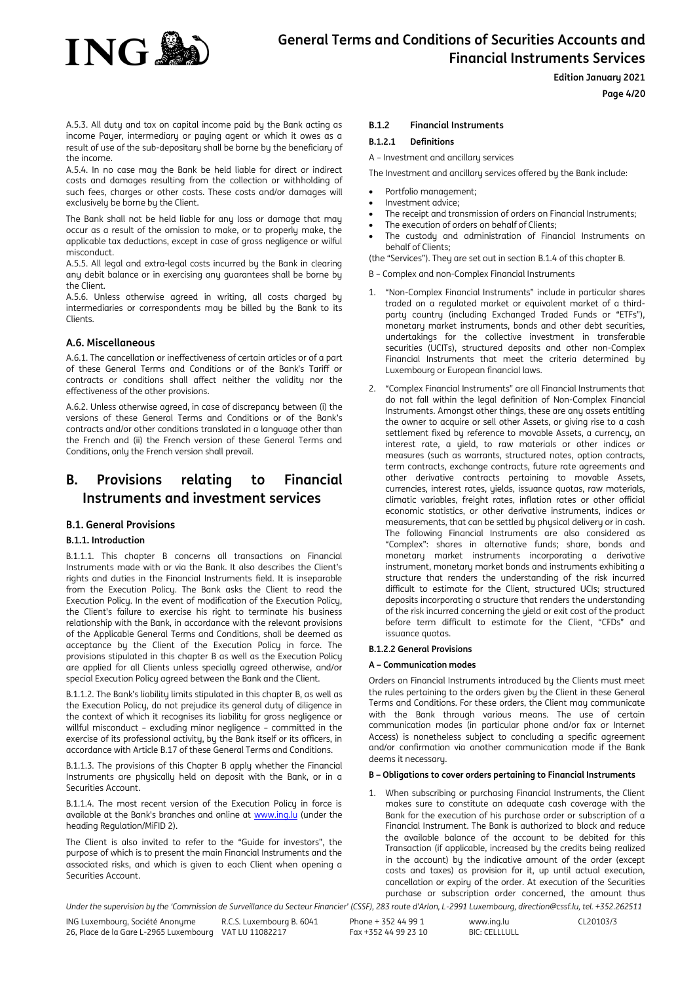

### **Edition January 2021**

**Page 4/20**

A.5.3. All duty and tax on capital income paid by the Bank acting as income Payer, intermediary or paying agent or which it owes as a result of use of the sub-depositary shall be borne by the beneficiary of the income.

A.5.4. In no case may the Bank be held liable for direct or indirect costs and damages resulting from the collection or withholding of such fees, charges or other costs. These costs and/or damages will exclusively be borne by the Client.

The Bank shall not be held liable for any loss or damage that may occur as a result of the omission to make, or to properly make, the applicable tax deductions, except in case of gross negligence or wilful misconduct.

A.5.5. All legal and extra-legal costs incurred by the Bank in clearing any debit balance or in exercising any guarantees shall be borne by the Client.

A.5.6. Unless otherwise agreed in writing, all costs charged by intermediaries or correspondents may be billed by the Bank to its Clients.

## <span id="page-3-0"></span>**A.6. Miscellaneous**

A.6.1. The cancellation or ineffectiveness of certain articles or of a part of these General Terms and Conditions or of the Bank's Tariff or contracts or conditions shall affect neither the validity nor the effectiveness of the other provisions.

A.6.2. Unless otherwise agreed, in case of discrepancy between (i) the versions of these General Terms and Conditions or of the Bank's contracts and/or other conditions translated in a language other than the French and (ii) the French version of these General Terms and Conditions, only the French version shall prevail.

## <span id="page-3-1"></span>**B. Provisions relating to Financial Instruments and investment services**

## <span id="page-3-2"></span>**B.1. General Provisions**

## **B.1.1. Introduction**

B.1.1.1. This chapter B concerns all transactions on Financial Instruments made with or via the Bank. It also describes the Client's rights and duties in the Financial Instruments field. It is inseparable from the Execution Policy. The Bank asks the Client to read the Execution Policy. In the event of modification of the Execution Policy, the Client's failure to exercise his right to terminate his business relationship with the Bank, in accordance with the relevant provisions of the Applicable General Terms and Conditions, shall be deemed as acceptance by the Client of the Execution Policy in force. The provisions stipulated in this chapter B as well as the Execution Policy are applied for all Clients unless specially agreed otherwise, and/or special Execution Policy agreed between the Bank and the Client.

B.1.1.2. The Bank's liability limits stipulated in this chapter B, as well as the Execution Policy, do not prejudice its general duty of diligence in the context of which it recognises its liability for gross negligence or willful misconduct – excluding minor negligence – committed in the exercise of its professional activity, by the Bank itself or its officers, in accordance with Article B.17 of these General Terms and Conditions.

B.1.1.3. The provisions of this Chapter B apply whether the Financial Instruments are physically held on deposit with the Bank, or in a Securities Account.

B.1.1.4. The most recent version of the Execution Policy in force is available at the Bank's branches and online a[t www.ing.lu](http://www.ing.lu/) (under the heading Regulation/MiFID 2).

The Client is also invited to refer to the "Guide for investors", the purpose of which is to present the main Financial Instruments and the associated risks, and which is given to each Client when opening a Securities Account.

## **B.1.2 Financial Instruments**

## **B.1.2.1 Definitions**

A – Investment and ancillary services

The Investment and ancillary services offered by the Bank include:

- Portfolio management;
- Investment advice;
- The receipt and transmission of orders on Financial Instruments;
- The execution of orders on behalf of Clients;
- The custody and administration of Financial Instruments on behalf of Clients;

(the "Services"). They are set out in section B.1.4 of this chapter B.

- B Complex and non-Complex Financial Instruments
- 1. "Non-Complex Financial Instruments" include in particular shares traded on a regulated market or equivalent market of a thirdparty country (including Exchanged Traded Funds or "ETFs"), monetary market instruments, bonds and other debt securities, undertakings for the collective investment in transferable securities (UCITs), structured deposits and other non-Complex Financial Instruments that meet the criteria determined by Luxembourg or European financial laws.
- 2. "Complex Financial Instruments" are all Financial Instruments that do not fall within the legal definition of Non-Complex Financial Instruments. Amongst other things, these are any assets entitling the owner to acquire or sell other Assets, or giving rise to a cash settlement fixed by reference to movable Assets, a currency, an interest rate, a yield, to raw materials or other indices or measures (such as warrants, structured notes, option contracts, term contracts, exchange contracts, future rate agreements and other derivative contracts pertaining to movable Assets, currencies, interest rates, yields, issuance quotas, raw materials, climatic variables, freight rates, inflation rates or other official economic statistics, or other derivative instruments, indices or measurements, that can be settled by physical delivery or in cash. The following Financial Instruments are also considered as "Complex": shares in alternative funds; share, bonds and monetary market instruments incorporating a derivative instrument, monetary market bonds and instruments exhibiting a structure that renders the understanding of the risk incurred difficult to estimate for the Client, structured UCIs; structured deposits incorporating a structure that renders the understanding of the risk incurred concerning the yield or exit cost of the product before term difficult to estimate for the Client, "CFDs" and issuance quotas.

#### **B.1.2.2 General Provisions**

#### **A – Communication modes**

Orders on Financial Instruments introduced by the Clients must meet the rules pertaining to the orders given by the Client in these General Terms and Conditions. For these orders, the Client may communicate with the Bank through various means. The use of certain communication modes (in particular phone and/or fax or Internet Access) is nonetheless subject to concluding a specific agreement and/or confirmation via another communication mode if the Bank deems it necessary.

### **B – Obligations to cover orders pertaining to Financial Instruments**

1. When subscribing or purchasing Financial Instruments, the Client makes sure to constitute an adequate cash coverage with the Bank for the execution of his purchase order or subscription of a Financial Instrument. The Bank is authorized to block and reduce the available balance of the account to be debited for this Transaction (if applicable, increased by the credits being realized in the account) by the indicative amount of the order (except costs and taxes) as provision for it, up until actual execution, cancellation or expiry of the order. At execution of the Securities purchase or subscription order concerned, the amount thus

Under the supervision by the 'Commission de Surveillance du Secteur Financier' (CSSF), 283 route d'Arlon, L-2991 Luxembourg, direction@cssf.lu, tel. +352.262511

ING Luxembourg, Société Anonyme 26, Place de la Gare L-2965 Luxembourg VAT LU 11082217 R.C.S. Luxembourg B. 6041 Phone + 352 44 99 1 Fax +352 44 99 23 10 www.ing.lu BIC: CELLLULL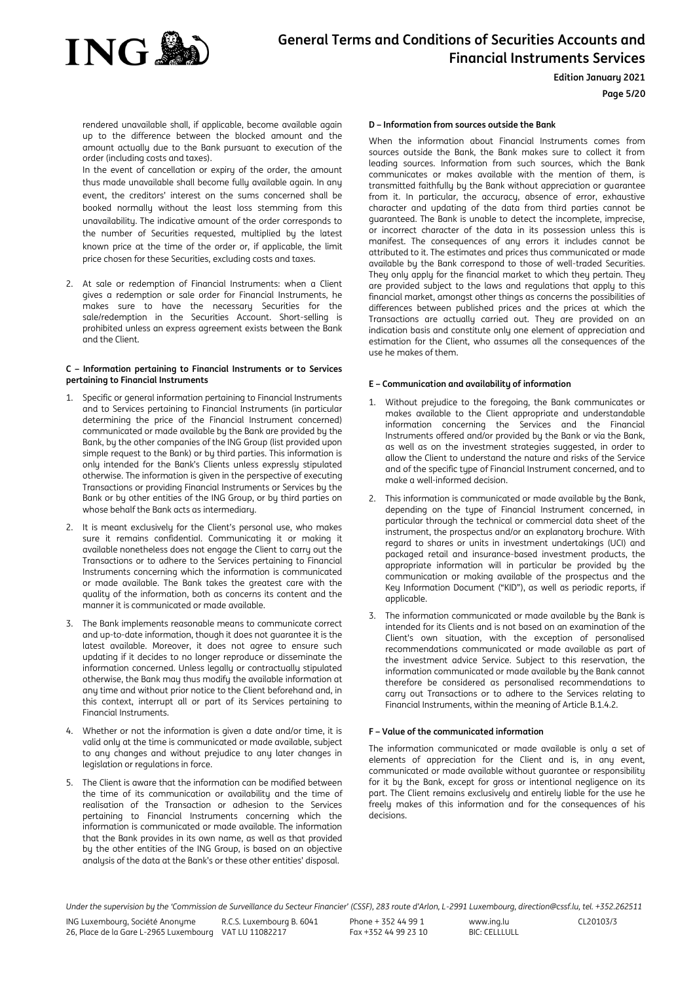

#### **Edition January 2021**

#### **Page 5/20**

rendered unavailable shall, if applicable, become available again up to the difference between the blocked amount and the amount actually due to the Bank pursuant to execution of the order (including costs and taxes).

In the event of cancellation or expiry of the order, the amount thus made unavailable shall become fully available again. In any event, the creditors' interest on the sums concerned shall be booked normally without the least loss stemming from this unavailability. The indicative amount of the order corresponds to the number of Securities requested, multiplied by the latest known price at the time of the order or, if applicable, the limit price chosen for these Securities, excluding costs and taxes.

2. At sale or redemption of Financial Instruments: when a Client gives a redemption or sale order for Financial Instruments, he makes sure to have the necessary Securities for the sale/redemption in the Securities Account. Short-selling is prohibited unless an express agreement exists between the Bank and the Client.

#### **C – Information pertaining to Financial Instruments or to Services pertaining to Financial Instruments**

- 1. Specific or general information pertaining to Financial Instruments and to Services pertaining to Financial Instruments (in particular determining the price of the Financial Instrument concerned) communicated or made available by the Bank are provided by the Bank, by the other companies of the ING Group (list provided upon simple request to the Bank) or by third parties. This information is only intended for the Bank's Clients unless expressly stipulated otherwise. The information is given in the perspective of executing Transactions or providing Financial Instruments or Services by the Bank or by other entities of the ING Group, or by third parties on whose behalf the Bank acts as intermediary.
- 2. It is meant exclusively for the Client's personal use, who makes sure it remains confidential. Communicating it or making it available nonetheless does not engage the Client to carry out the Transactions or to adhere to the Services pertaining to Financial Instruments concerning which the information is communicated or made available. The Bank takes the greatest care with the quality of the information, both as concerns its content and the manner it is communicated or made available.
- 3. The Bank implements reasonable means to communicate correct and up-to-date information, though it does not guarantee it is the latest available. Moreover, it does not agree to ensure such updating if it decides to no longer reproduce or disseminate the information concerned. Unless legally or contractually stipulated otherwise, the Bank may thus modify the available information at any time and without prior notice to the Client beforehand and, in this context, interrupt all or part of its Services pertaining to Financial Instruments.
- 4. Whether or not the information is given a date and/or time, it is valid only at the time is communicated or made available, subject to any changes and without prejudice to any later changes in legislation or regulations in force.
- 5. The Client is aware that the information can be modified between the time of its communication or availability and the time of realisation of the Transaction or adhesion to the Services pertaining to Financial Instruments concerning which the information is communicated or made available. The information that the Bank provides in its own name, as well as that provided by the other entities of the ING Group, is based on an objective analysis of the data at the Bank's or these other entities' disposal.

#### **D – Information from sources outside the Bank**

When the information about Financial Instruments comes from sources outside the Bank, the Bank makes sure to collect it from leading sources. Information from such sources, which the Bank communicates or makes available with the mention of them, is transmitted faithfully by the Bank without appreciation or guarantee from it. In particular, the accuracy, absence of error, exhaustive character and updating of the data from third parties cannot be guaranteed. The Bank is unable to detect the incomplete, imprecise, or incorrect character of the data in its possession unless this is manifest. The consequences of any errors it includes cannot be attributed to it. The estimates and prices thus communicated or made available by the Bank correspond to those of well-traded Securities. They only apply for the financial market to which they pertain. They are provided subject to the laws and regulations that apply to this financial market, amongst other things as concerns the possibilities of differences between published prices and the prices at which the Transactions are actually carried out. They are provided on an indication basis and constitute only one element of appreciation and estimation for the Client, who assumes all the consequences of the use he makes of them.

#### **E – Communication and availability of information**

- 1. Without prejudice to the foregoing, the Bank communicates or makes available to the Client appropriate and understandable information concerning the Services and the Financial Instruments offered and/or provided by the Bank or via the Bank, as well as on the investment strategies suggested, in order to allow the Client to understand the nature and risks of the Service and of the specific type of Financial Instrument concerned, and to make a well-informed decision.
- 2. This information is communicated or made available by the Bank, depending on the type of Financial Instrument concerned, in particular through the technical or commercial data sheet of the instrument, the prospectus and/or an explanatory brochure. With regard to shares or units in investment undertakings (UCI) and packaged retail and insurance-based investment products, the appropriate information will in particular be provided by the communication or making available of the prospectus and the Key Information Document ("KID"), as well as periodic reports, if applicable.
- 3. The information communicated or made available by the Bank is intended for its Clients and is not based on an examination of the Client's own situation, with the exception of personalised recommendations communicated or made available as part of the investment advice Service. Subject to this reservation, the information communicated or made available by the Bank cannot therefore be considered as personalised recommendations to carry out Transactions or to adhere to the Services relating to Financial Instruments, within the meaning of Article B.1.4.2.

#### **F – Value of the communicated information**

The information communicated or made available is only a set of elements of appreciation for the Client and is, in any event, communicated or made available without guarantee or responsibility for it by the Bank, except for gross or intentional negligence on its part. The Client remains exclusively and entirely liable for the use he freely makes of this information and for the consequences of his decisions.

Under the supervision by the 'Commission de Surveillance du Secteur Financier' (CSSF), 283 route d'Arlon, L-2991 Luxembourg, direction@cssf.lu, tel. +352.262511

www.ing.lu BIC: CELLLULL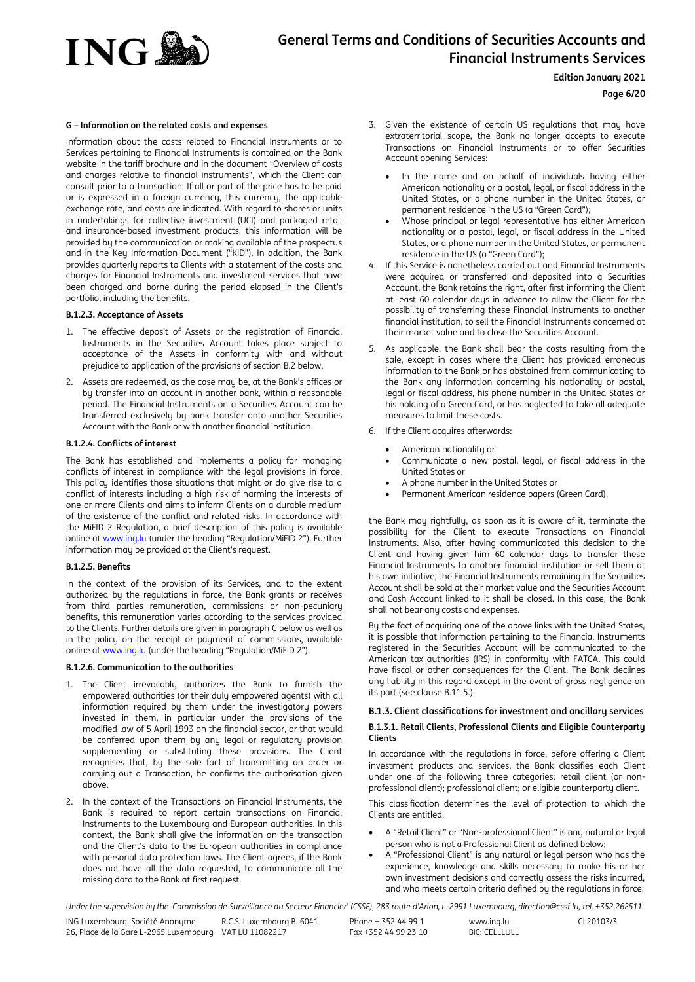

**Edition January 2021**

**Page 6/20**

#### **G – Information on the related costs and expenses**

Information about the costs related to Financial Instruments or to Services pertaining to Financial Instruments is contained on the Bank website in the tariff brochure and in the document "Overview of costs and charges relative to financial instruments", which the Client can consult prior to a transaction. If all or part of the price has to be paid or is expressed in a foreign currency, this currency, the applicable exchange rate, and costs are indicated. With regard to shares or units in undertakings for collective investment (UCI) and packaged retail and insurance-based investment products, this information will be provided by the communication or making available of the prospectus and in the Key Information Document ("KID"). In addition, the Bank provides quarterly reports to Clients with a statement of the costs and charges for Financial Instruments and investment services that have been charged and borne during the period elapsed in the Client's portfolio, including the benefits.

#### **B.1.2.3. Acceptance of Assets**

- 1. The effective deposit of Assets or the registration of Financial Instruments in the Securities Account takes place subject to acceptance of the Assets in conformity with and without prejudice to application of the provisions of section B.2 below.
- 2. Assets are redeemed, as the case may be, at the Bank's offices or by transfer into an account in another bank, within a reasonable period. The Financial Instruments on a Securities Account can be transferred exclusively by bank transfer onto another Securities Account with the Bank or with another financial institution.

#### **B.1.2.4. Conflicts of interest**

The Bank has established and implements a policy for managing conflicts of interest in compliance with the legal provisions in force. This policy identifies those situations that might or do give rise to a conflict of interests including a high risk of harming the interests of one or more Clients and aims to inform Clients on a durable medium of the existence of the conflict and related risks. In accordance with the MiFID 2 Regulation, a brief description of this policy is available online at www.ing.lu (under the heading "Regulation/MiFID 2"). Further information may be provided at the Client's request.

#### **B.1.2.5. Benefits**

In the context of the provision of its Services, and to the extent authorized by the regulations in force, the Bank grants or receives from third parties remuneration, commissions or non-pecuniary benefits, this remuneration varies according to the services provided to the Clients. Further details are given in paragraph C below as well as in the policy on the receipt or payment of commissions, available online at www.ing.lu (under the heading "Regulation/MiFID 2").

#### **B.1.2.6. Communication to the authorities**

- 1. The Client irrevocably authorizes the Bank to furnish the empowered authorities (or their duly empowered agents) with all information required by them under the investigatory powers invested in them, in particular under the provisions of the modified law of 5 April 1993 on the financial sector, or that would be conferred upon them by any legal or regulatory provision supplementing or substituting these provisions. The Client recognises that, by the sole fact of transmitting an order or carrying out a Transaction, he confirms the authorisation given above.
- 2. In the context of the Transactions on Financial Instruments, the Bank is required to report certain transactions on Financial Instruments to the Luxembourg and European authorities. In this context, the Bank shall give the information on the transaction and the Client's data to the European authorities in compliance with personal data protection laws. The Client agrees, if the Bank does not have all the data requested, to communicate all the missing data to the Bank at first request.
- 3. Given the existence of certain US regulations that may have extraterritorial scope, the Bank no longer accepts to execute Transactions on Financial Instruments or to offer Securities Account opening Services:
	- In the name and on behalf of individuals having either American nationality or a postal, legal, or fiscal address in the United States, or a phone number in the United States, or permanent residence in the US (a "Green Card");
	- Whose principal or legal representative has either American nationality or a postal, legal, or fiscal address in the United States, or a phone number in the United States, or permanent residence in the US (a "Green Card");
- 4. If this Service is nonetheless carried out and Financial Instruments were acquired or transferred and deposited into a Securities Account, the Bank retains the right, after first informing the Client at least 60 calendar days in advance to allow the Client for the possibility of transferring these Financial Instruments to another financial institution, to sell the Financial Instruments concerned at their market value and to close the Securities Account.
- 5. As applicable, the Bank shall bear the costs resulting from the sale, except in cases where the Client has provided erroneous information to the Bank or has abstained from communicating to the Bank any information concerning his nationality or postal, legal or fiscal address, his phone number in the United States or his holding of a Green Card, or has neglected to take all adequate measures to limit these costs.
- 6. If the Client acquires afterwards:
	- American nationality or
	- Communicate a new postal, legal, or fiscal address in the United States or
	- A phone number in the United States or
	- Permanent American residence papers (Green Card),

the Bank may rightfully, as soon as it is aware of it, terminate the possibility for the Client to execute Transactions on Financial Instruments. Also, after having communicated this decision to the Client and having given him 60 calendar days to transfer these Financial Instruments to another financial institution or sell them at his own initiative, the Financial Instruments remaining in the Securities Account shall be sold at their market value and the Securities Account and Cash Account linked to it shall be closed. In this case, the Bank shall not bear any costs and expenses.

By the fact of acquiring one of the above links with the United States, it is possible that information pertaining to the Financial Instruments registered in the Securities Account will be communicated to the American tax authorities (IRS) in conformity with FATCA. This could have fiscal or other consequences for the Client. The Bank declines any liability in this regard except in the event of gross negligence on its part (see clause B.11.5.).

#### **B.1.3. Client classifications for investment and ancillary services**

#### **B.1.3.1. Retail Clients, Professional Clients and Eligible Counterparty Clients**

In accordance with the regulations in force, before offering a Client investment products and services, the Bank classifies each Client under one of the following three categories: retail client (or nonprofessional client); professional client; or eligible counterparty client.

This classification determines the level of protection to which the Clients are entitled.

- A "Retail Client" or "Non-professional Client" is any natural or legal person who is not a Professional Client as defined below;
- A "Professional Client" is any natural or legal person who has the experience, knowledge and skills necessary to make his or her own investment decisions and correctly assess the risks incurred, and who meets certain criteria defined by the regulations in force;

Under the supervision by the 'Commission de Surveillance du Secteur Financier' (CSSF), 283 route d'Arlon, L-2991 Luxembourg, direction@cssf.lu, tel. +352.262511

ING Luxembourg, Société Anonyme 26, Place de la Gare L-2965 Luxembourg VAT LU 11082217 R.C.S. Luxembourg B. 6041 Phone + 352 44 99 1 Fax +352 44 99 23 10 www.ing.lu BIC: CELLLULL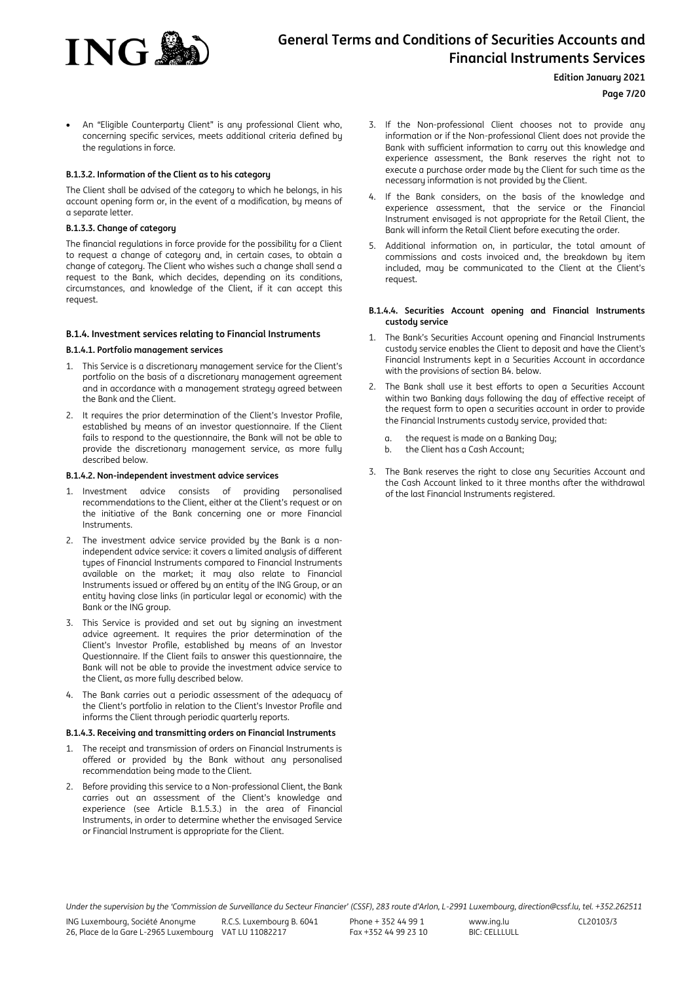

#### **Edition January 2021**

**Page 7/20**

 An "Eligible Counterparty Client" is any professional Client who, concerning specific services, meets additional criteria defined by the regulations in force.

#### **B.1.3.2. Information of the Client as to his category**

The Client shall be advised of the category to which he belongs, in his account opening form or, in the event of a modification, by means of a separate letter.

#### **B.1.3.3. Change of category**

The financial regulations in force provide for the possibility for a Client to request a change of category and, in certain cases, to obtain a change of category. The Client who wishes such a change shall send a request to the Bank, which decides, depending on its conditions, circumstances, and knowledge of the Client, if it can accept this request.

#### **B.1.4. Investment services relating to Financial Instruments**

#### **B.1.4.1. Portfolio management services**

- 1. This Service is a discretionary management service for the Client's portfolio on the basis of a discretionary management agreement and in accordance with a management strategy agreed between the Bank and the Client.
- 2. It requires the prior determination of the Client's Investor Profile, established by means of an investor questionnaire. If the Client fails to respond to the questionnaire, the Bank will not be able to provide the discretionary management service, as more fully described below.

#### **B.1.4.2. Non-independent investment advice services**

- Investment advice consists of providing personalised recommendations to the Client, either at the Client's request or on the initiative of the Bank concerning one or more Financial Instruments.
- 2. The investment advice service provided by the Bank is a nonindependent advice service: it covers a limited analysis of different types of Financial Instruments compared to Financial Instruments available on the market; it may also relate to Financial Instruments issued or offered by an entity of the ING Group, or an entity having close links (in particular legal or economic) with the Bank or the ING group.
- 3. This Service is provided and set out by signing an investment advice agreement. It requires the prior determination of the Client's Investor Profile, established by means of an Investor Questionnaire. If the Client fails to answer this questionnaire, the Bank will not be able to provide the investment advice service to the Client, as more fully described below.
- 4. The Bank carries out a periodic assessment of the adequacy of the Client's portfolio in relation to the Client's Investor Profile and informs the Client through periodic quarterly reports.

#### **B.1.4.3. Receiving and transmitting orders on Financial Instruments**

- 1. The receipt and transmission of orders on Financial Instruments is offered or provided by the Bank without any personalised recommendation being made to the Client.
- 2. Before providing this service to a Non-professional Client, the Bank carries out an assessment of the Client's knowledge and experience (see Article B.1.5.3.) in the area of Financial Instruments, in order to determine whether the envisaged Service or Financial Instrument is appropriate for the Client.
- 3. If the Non-professional Client chooses not to provide any information or if the Non-professional Client does not provide the Bank with sufficient information to carry out this knowledge and experience assessment, the Bank reserves the right not to execute a purchase order made by the Client for such time as the necessary information is not provided by the Client.
- 4. If the Bank considers, on the basis of the knowledge and experience assessment, that the service or the Financial Instrument envisaged is not appropriate for the Retail Client, the Bank will inform the Retail Client before executing the order.
- 5. Additional information on, in particular, the total amount of commissions and costs invoiced and, the breakdown by item included, may be communicated to the Client at the Client's request.

#### **B.1.4.4. Securities Account opening and Financial Instruments custody service**

- 1. The Bank's Securities Account opening and Financial Instruments custody service enables the Client to deposit and have the Client's Financial Instruments kept in a Securities Account in accordance with the provisions of section B4. below.
- 2. The Bank shall use it best efforts to open a Securities Account within two Banking days following the day of effective receipt of the request form to open a securities account in order to provide the Financial Instruments custody service, provided that:
	- a. the request is made on a Banking Day;
	- b. the Client has a Cash Account;
- 3. The Bank reserves the right to close any Securities Account and the Cash Account linked to it three months after the withdrawal of the last Financial Instruments registered.

Under the supervision by the 'Commission de Surveillance du Secteur Financier' (CSSF), 283 route d'Arlon, L-2991 Luxembourg, direction@cssf.lu, tel. +352.262511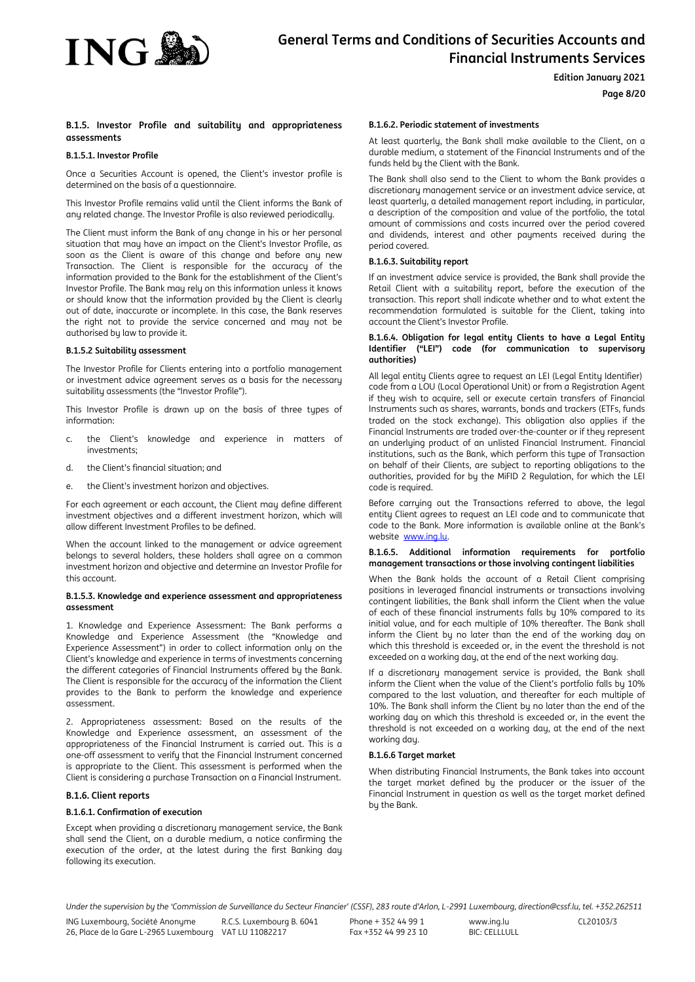

#### **Edition January 2021**

**Page 8/20**

### **B.1.5. Investor Profile and suitability and appropriateness assessments**

### **B.1.5.1. Investor Profile**

Once a Securities Account is opened, the Client's investor profile is determined on the basis of a questionnaire.

This Investor Profile remains valid until the Client informs the Bank of any related change. The Investor Profile is also reviewed periodically.

The Client must inform the Bank of any change in his or her personal situation that may have an impact on the Client's Investor Profile, as soon as the Client is aware of this change and before any new Transaction. The Client is responsible for the accuracy of the information provided to the Bank for the establishment of the Client's Investor Profile. The Bank may rely on this information unless it knows or should know that the information provided by the Client is clearly out of date, inaccurate or incomplete. In this case, the Bank reserves the right not to provide the service concerned and may not be authorised by law to provide it.

## **B.1.5.2 Suitability assessment**

The Investor Profile for Clients entering into a portfolio management or investment advice agreement serves as a basis for the necessary suitability assessments (the "Investor Profile").

This Investor Profile is drawn up on the basis of three types of information:

- c. the Client's knowledge and experience in matters of investments;
- d. the Client's financial situation; and
- e. the Client's investment horizon and objectives.

For each agreement or each account, the Client may define different investment objectives and a different investment horizon, which will allow different Investment Profiles to be defined.

When the account linked to the management or advice agreement belongs to several holders, these holders shall agree on a common investment horizon and objective and determine an Investor Profile for this account.

#### **B.1.5.3. Knowledge and experience assessment and appropriateness assessment**

1. Knowledge and Experience Assessment: The Bank performs a Knowledge and Experience Assessment (the "Knowledge and Experience Assessment") in order to collect information only on the Client's knowledge and experience in terms of investments concerning the different categories of Financial Instruments offered by the Bank. The Client is responsible for the accuracy of the information the Client provides to the Bank to perform the knowledge and experience assessment.

2. Appropriateness assessment: Based on the results of the Knowledge and Experience assessment, an assessment of the appropriateness of the Financial Instrument is carried out. This is a one-off assessment to verify that the Financial Instrument concerned is appropriate to the Client. This assessment is performed when the Client is considering a purchase Transaction on a Financial Instrument.

#### **B.1.6. Client reports**

#### **B.1.6.1. Confirmation of execution**

Except when providing a discretionary management service, the Bank shall send the Client, on a durable medium, a notice confirming the execution of the order, at the latest during the first Banking day following its execution.

#### **B.1.6.2. Periodic statement of investments**

At least quarterly, the Bank shall make available to the Client, on a durable medium, a statement of the Financial Instruments and of the funds held by the Client with the Bank.

The Bank shall also send to the Client to whom the Bank provides a discretionary management service or an investment advice service, at least quarterly, a detailed management report including, in particular, a description of the composition and value of the portfolio, the total amount of commissions and costs incurred over the period covered and dividends, interest and other payments received during the period covered.

#### **B.1.6.3. Suitability report**

If an investment advice service is provided, the Bank shall provide the Retail Client with a suitability report, before the execution of the transaction. This report shall indicate whether and to what extent the recommendation formulated is suitable for the Client, taking into account the Client's Investor Profile.

#### **B.1.6.4. Obligation for legal entity Clients to have a Legal Entity Identifier ("LEI") code (for communication to supervisory authorities)**

All legal entity Clients agree to request an LEI (Legal Entity Identifier) code from a LOU (Local Operational Unit) or from a Registration Agent if they wish to acquire, sell or execute certain transfers of Financial Instruments such as shares, warrants, bonds and trackers (ETFs, funds traded on the stock exchange). This obligation also applies if the Financial Instruments are traded over-the-counter or if they represent an underlying product of an unlisted Financial Instrument. Financial institutions, such as the Bank, which perform this type of Transaction on behalf of their Clients, are subject to reporting obligations to the authorities, provided for by the MiFID 2 Regulation, for which the LEI code is required.

Before carrying out the Transactions referred to above, the legal entity Client agrees to request an LEI code and to communicate that code to the Bank. More information is available online at the Bank's website [www.ing.lu.](http://www.ing.lu/) 

#### **B.1.6.5. Additional information requirements for portfolio management transactions or those involving contingent liabilities**

When the Bank holds the account of a Retail Client comprising positions in leveraged financial instruments or transactions involving contingent liabilities, the Bank shall inform the Client when the value of each of these financial instruments falls by 10% compared to its initial value, and for each multiple of 10% thereafter. The Bank shall inform the Client by no later than the end of the working day on which this threshold is exceeded or, in the event the threshold is not exceeded on a working day, at the end of the next working day.

If a discretionary management service is provided, the Bank shall inform the Client when the value of the Client's portfolio falls by 10% compared to the last valuation, and thereafter for each multiple of 10%. The Bank shall inform the Client by no later than the end of the working day on which this threshold is exceeded or, in the event the threshold is not exceeded on a working day, at the end of the next working day.

#### **B.1.6.6 Target market**

When distributing Financial Instruments, the Bank takes into account the target market defined by the producer or the issuer of the Financial Instrument in question as well as the target market defined by the Bank.

Under the supervision by the 'Commission de Surveillance du Secteur Financier' (CSSF), 283 route d'Arlon, L-2991 Luxembourg, direction@cssf.lu, tel. +352.262511

ING Luxembourg, Société Anonyme 26, Place de la Gare L-2965 Luxembourg VAT LU 11082217 R.C.S. Luxembourg B. 6041

Phone + 352 44 99 1 Fax +352 44 99 23 10 www.ing.lu BIC: CELLLULL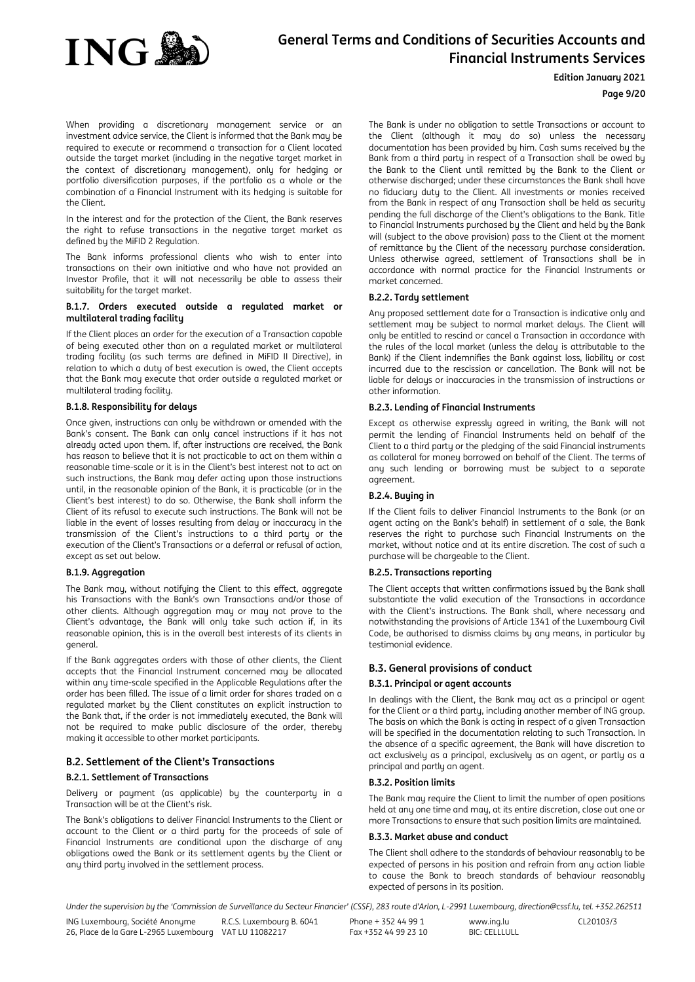

### **Edition January 2021**

#### **Page 9/20**

When providing a discretionary management service or an investment advice service, the Client is informed that the Bank may be required to execute or recommend a transaction for a Client located outside the target market (including in the negative target market in the context of discretionary management), only for hedging or portfolio diversification purposes, if the portfolio as a whole or the combination of a Financial Instrument with its hedging is suitable for the Client.

In the interest and for the protection of the Client, the Bank reserves the right to refuse transactions in the negative target market as defined by the MiFID 2 Regulation.

The Bank informs professional clients who wish to enter into transactions on their own initiative and who have not provided an Investor Profile, that it will not necessarily be able to assess their suitability for the target market.

#### **B.1.7. Orders executed outside a regulated market or multilateral trading facility**

If the Client places an order for the execution of a Transaction capable of being executed other than on a regulated market or multilateral trading facility (as such terms are defined in MiFID II Directive), in relation to which a duty of best execution is owed, the Client accepts that the Bank may execute that order outside a regulated market or multilateral trading facility.

#### **B.1.8. Responsibility for delays**

Once given, instructions can only be withdrawn or amended with the Bank's consent. The Bank can only cancel instructions if it has not already acted upon them. If, after instructions are received, the Bank has reason to believe that it is not practicable to act on them within a reasonable time-scale or it is in the Client's best interest not to act on such instructions, the Bank may defer acting upon those instructions until, in the reasonable opinion of the Bank, it is practicable (or in the Client's best interest) to do so. Otherwise, the Bank shall inform the Client of its refusal to execute such instructions. The Bank will not be liable in the event of losses resulting from delay or inaccuracy in the transmission of the Client's instructions to a third party or the execution of the Client's Transactions or a deferral or refusal of action, except as set out below.

#### **B.1.9. Aggregation**

The Bank may, without notifying the Client to this effect, aggregate his Transactions with the Bank's own Transactions and/or those of other clients. Although aggregation may or may not prove to the Client's advantage, the Bank will only take such action if, in its reasonable opinion, this is in the overall best interests of its clients in general.

If the Bank aggregates orders with those of other clients, the Client accepts that the Financial Instrument concerned may be allocated within any time-scale specified in the Applicable Regulations after the order has been filled. The issue of a limit order for shares traded on a regulated market by the Client constitutes an explicit instruction to the Bank that, if the order is not immediately executed, the Bank will not be required to make public disclosure of the order, thereby making it accessible to other market participants.

### **B.2. Settlement of the Client's Transactions B.2.1. Settlement of Transactions**

Delivery or payment (as applicable) by the counterparty in a Transaction will be at the Client's risk.

The Bank's obligations to deliver Financial Instruments to the Client or account to the Client or a third party for the proceeds of sale of Financial Instruments are conditional upon the discharge of any obligations owed the Bank or its settlement agents by the Client or any third party involved in the settlement process.

The Bank is under no obligation to settle Transactions or account to the Client (although it may do so) unless the necessary documentation has been provided by him. Cash sums received by the Bank from a third party in respect of a Transaction shall be owed by the Bank to the Client until remitted by the Bank to the Client or otherwise discharged; under these circumstances the Bank shall have no fiduciary duty to the Client. All investments or monies received from the Bank in respect of any Transaction shall be held as security pending the full discharge of the Client's obligations to the Bank. Title to Financial Instruments purchased by the Client and held by the Bank will (subject to the above provision) pass to the Client at the moment of remittance by the Client of the necessary purchase consideration. Unless otherwise agreed, settlement of Transactions shall be in accordance with normal practice for the Financial Instruments or market concerned.

#### **B.2.2. Tardy settlement**

Any proposed settlement date for a Transaction is indicative only and settlement may be subject to normal market delays. The Client will only be entitled to rescind or cancel a Transaction in accordance with the rules of the local market (unless the delay is attributable to the Bank) if the Client indemnifies the Bank against loss, liability or cost incurred due to the rescission or cancellation. The Bank will not be liable for delays or inaccuracies in the transmission of instructions or other information.

#### **B.2.3. Lending of Financial Instruments**

Except as otherwise expressly agreed in writing, the Bank will not permit the lending of Financial Instruments held on behalf of the Client to a third party or the pledging of the said Financial instruments as collateral for money borrowed on behalf of the Client. The terms of any such lending or borrowing must be subject to a separate agreement.

#### **B.2.4. Buying in**

If the Client fails to deliver Financial Instruments to the Bank (or an agent acting on the Bank's behalf) in settlement of a sale, the Bank reserves the right to purchase such Financial Instruments on the market, without notice and at its entire discretion. The cost of such a purchase will be chargeable to the Client.

### **B.2.5. Transactions reporting**

The Client accepts that written confirmations issued by the Bank shall substantiate the valid execution of the Transactions in accordance with the Client's instructions. The Bank shall, where necessary and notwithstanding the provisions of Article 1341 of the Luxembourg Civil Code, be authorised to dismiss claims by any means, in particular by testimonial evidence.

## <span id="page-8-1"></span>**B.3. General provisions of conduct**

#### **B.3.1. Principal or agent accounts**

<span id="page-8-0"></span>In dealings with the Client, the Bank may act as a principal or agent for the Client or a third party, including another member of ING group. The basis on which the Bank is acting in respect of a given Transaction will be specified in the documentation relating to such Transaction. In the absence of a specific agreement, the Bank will have discretion to act exclusively as a principal, exclusively as an agent, or partly as a principal and partly an agent.

### **B.3.2. Position limits**

The Bank may require the Client to limit the number of open positions held at any one time and may, at its entire discretion, close out one or more Transactions to ensure that such position limits are maintained.

#### **B.3.3. Market abuse and conduct**

The Client shall adhere to the standards of behaviour reasonably to be expected of persons in his position and refrain from any action liable to cause the Bank to breach standards of behaviour reasonably expected of persons in its position.

Under the supervision by the 'Commission de Surveillance du Secteur Financier' (CSSF), 283 route d'Arlon, L-2991 Luxembourg, direction@cssf.lu, tel. +352.262511

ING Luxembourg, Société Anonyme 26, Place de la Gare L-2965 Luxembourg VAT LU 11082217 R.C.S. Luxembourg B. 6041 Phone + 352 44 99 1 Fax +352 44 99 23 10 www.ing.lu BIC: CELLLULL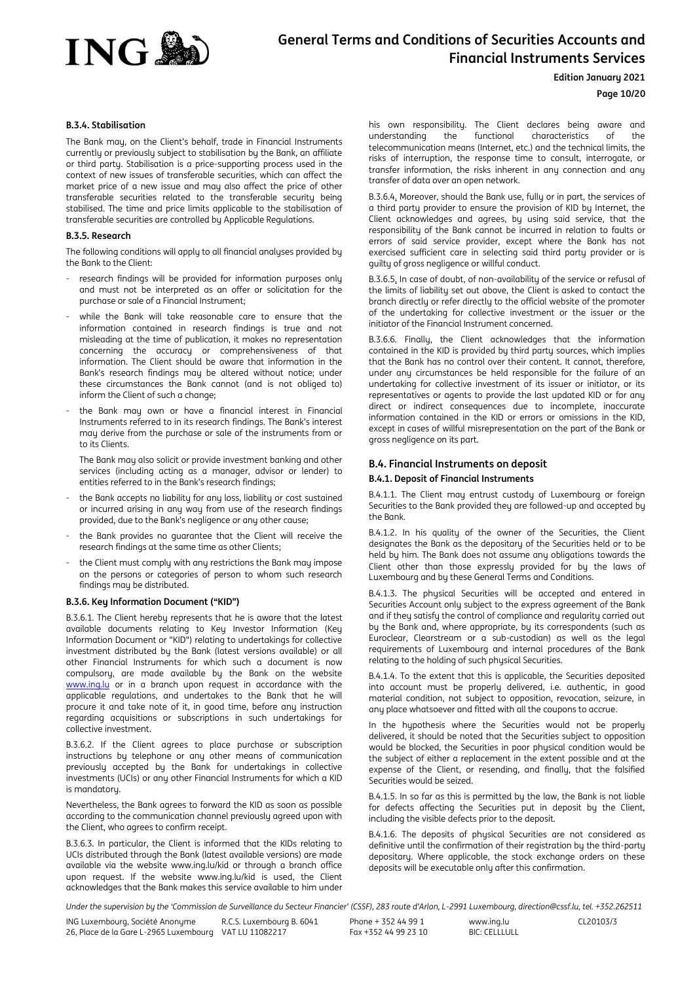

#### **Edition January 2021**

### **Page 10/20**

### **B.3.4. Stabilisation**

The Bank may, on the Client's behalf, trade in Financial Instruments currently or previously subject to stabilisation by the Bank, an affiliate or third party. Stabilisation is a price-supporting process used in the context of new issues of transferable securities, which can affect the market price of a new issue and may also affect the price of other transferable securities related to the transferable security being stabilised. The time and price limits applicable to the stabilisation of transferable securities are controlled by Applicable Regulations.

## **B.3.5. Research**

The following conditions will apply to all financial analyses provided by the Bank to the Client:

- research findings will be provided for information purposes only and must not be interpreted as an offer or solicitation for the purchase or sale of a Financial Instrument;
- while the Bank will take reasonable care to ensure that the information contained in research findings is true and not misleading at the time of publication, it makes no representation concerning the accuracy or comprehensiveness of that information. The Client should be aware that information in the Bank's research findings may be altered without notice; under these circumstances the Bank cannot (and is not obliged to) inform the Client of such a change;
- the Bank may own or have a financial interest in Financial Instruments referred to in its research findings. The Bank's interest may derive from the purchase or sale of the instruments from or to its Clients.

 The Bank may also solicit or provide investment banking and other services (including acting as a manager, advisor or lender) to entities referred to in the Bank's research findings;

- the Bank accepts no liability for any loss, liability or cost sustained or incurred arising in any way from use of the research findings provided, due to the Bank's negligence or any other cause;
- the Bank provides no quarantee that the Client will receive the research findings at the same time as other Clients;
- the Client must comply with any restrictions the Bank may impose on the persons or categories of person to whom such research findings may be distributed.

## **B.3.6. Key Information Document ("KID")**

B.3.6.1. The Client hereby represents that he is aware that the latest available documents relating to Key Investor Information (Key Information Document or "KID") relating to undertakings for collective investment distributed by the Bank (latest versions available) or all other Financial Instruments for which such a document is now compulsory, are made available by the Bank on the website [www.ing.lu](http://www.ing.lu/) or in a branch upon request in accordance with the applicable regulations, and undertakes to the Bank that he will procure it and take note of it, in good time, before any instruction regarding acquisitions or subscriptions in such undertakings for collective investment.

B.3.6.2. If the Client agrees to place purchase or subscription instructions by telephone or any other means of communication previously accepted by the Bank for undertakings in collective investments (UCIs) or any other Financial Instruments for which a KID is mandatory.

Nevertheless, the Bank agrees to forward the KID as soon as possible according to the communication channel previously agreed upon with the Client, who agrees to confirm receipt.

B.3.6.3. In particular, the Client is informed that the KIDs relating to UCIs distributed through the Bank (latest available versions) are made available via the website www.ing.lu/kid or through a branch office upon request. If the website www.ing.lu/kid is used, the Client acknowledges that the Bank makes this service available to him under

his own responsibility. The Client declares being aware and understanding the functional characteristics of the telecommunication means (Internet, etc.) and the technical limits, the risks of interruption, the response time to consult, interrogate, or transfer information, the risks inherent in any connection and any transfer of data over an open network.

B.3.6.4. Moreover, should the Bank use, fully or in part, the services of a third party provider to ensure the provision of KID by Internet, the Client acknowledges and agrees, by using said service, that the responsibility of the Bank cannot be incurred in relation to faults or errors of said service provider, except where the Bank has not exercised sufficient care in selecting said third party provider or is guilty of gross negligence or willful conduct.

B.3.6.5. In case of doubt, of non-availability of the service or refusal of the limits of liability set out above, the Client is asked to contact the branch directly or refer directly to the official website of the promoter of the undertaking for collective investment or the issuer or the initiator of the Financial Instrument concerned.

B.3.6.6. Finally, the Client acknowledges that the information contained in the KID is provided by third party sources, which implies that the Bank has no control over their content. It cannot, therefore, under any circumstances be held responsible for the failure of an undertaking for collective investment of its issuer or initiator, or its representatives or agents to provide the last updated KID or for any direct or indirect consequences due to incomplete, inaccurate information contained in the KID or errors or omissions in the KID, except in cases of willful misrepresentation on the part of the Bank or gross negligence on its part.

### <span id="page-9-0"></span>**B.4. Financial Instruments on deposit B.4.1. Deposit of Financial Instruments**

B.4.1.1. The Client may entrust custody of Luxembourg or foreign Securities to the Bank provided they are followed-up and accepted by the Bank.

B.4.1.2. In his quality of the owner of the Securities, the Client designates the Bank as the depositary of the Securities held or to be held by him. The Bank does not assume any obligations towards the Client other than those expressly provided for by the laws of Luxembourg and by these General Terms and Conditions.

B.4.1.3. The physical Securities will be accepted and entered in Securities Account only subject to the express agreement of the Bank and if they satisfy the control of compliance and regularity carried out by the Bank and, where appropriate, by its correspondents (such as Euroclear, Clearstream or a sub-custodian) as well as the legal requirements of Luxembourg and internal procedures of the Bank relating to the holding of such physical Securities.

B.4.1.4. To the extent that this is applicable, the Securities deposited into account must be properly delivered, i.e. authentic, in good material condition, not subject to opposition, revocation, seizure, in any place whatsoever and fitted with all the coupons to accrue.

In the hypothesis where the Securities would not be properly delivered, it should be noted that the Securities subject to opposition would be blocked, the Securities in poor physical condition would be the subject of either a replacement in the extent possible and at the expense of the Client, or resending, and finally, that the falsified Securities would be seized.

B.4.1.5. In so far as this is permitted by the law, the Bank is not liable for defects affecting the Securities put in deposit by the Client, including the visible defects prior to the deposit.

B.4.1.6. The deposits of physical Securities are not considered as definitive until the confirmation of their registration by the third-party depositary. Where applicable, the stock exchange orders on these deposits will be executable only after this confirmation.

Under the supervision by the 'Commission de Surveillance du Secteur Financier' (CSSF), 283 route d'Arlon, L-2991 Luxembourg, direction@cssf.lu, tel. +352.262511

ING Luxembourg, Société Anonyme 26, Place de la Gare L-2965 Luxembourg VAT LU 11082217 R.C.S. Luxembourg B. 6041 Phone + 352 44 99 1 Fax +352 44 99 23 10 www.ing.lu BIC: CELLLULL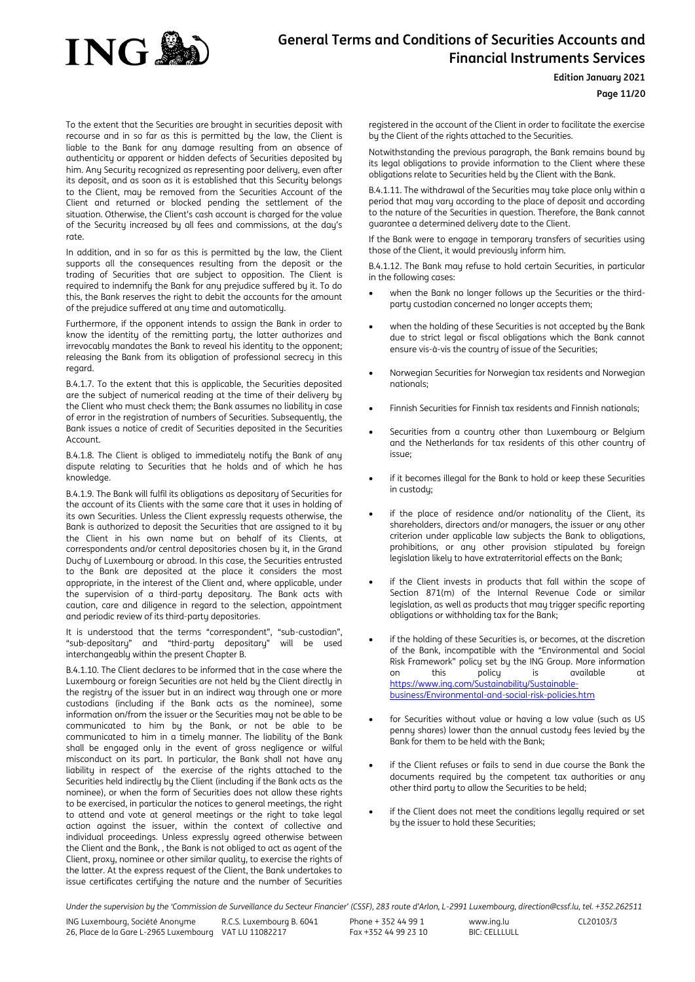

#### **Edition January 2021**

**Page 11/20**

To the extent that the Securities are brought in securities deposit with recourse and in so far as this is permitted by the law, the Client is liable to the Bank for any damage resulting from an absence of authenticity or apparent or hidden defects of Securities deposited by him. Any Security recognized as representing poor delivery, even after its deposit, and as soon as it is established that this Securitu belongs to the Client, may be removed from the Securities Account of the Client and returned or blocked pending the settlement of the situation. Otherwise, the Client's cash account is charged for the value of the Security increased by all fees and commissions, at the day's rate.

In addition, and in so far as this is permitted by the law, the Client supports all the consequences resulting from the deposit or the trading of Securities that are subject to opposition. The Client is required to indemnify the Bank for any prejudice suffered by it. To do this, the Bank reserves the right to debit the accounts for the amount of the prejudice suffered at any time and automatically.

Furthermore, if the opponent intends to assign the Bank in order to know the identity of the remitting party, the latter authorizes and irrevocably mandates the Bank to reveal his identity to the opponent; releasing the Bank from its obligation of professional secrecy in this regard.

B.4.1.7. To the extent that this is applicable, the Securities deposited are the subject of numerical reading at the time of their delivery by the Client who must check them; the Bank assumes no liability in case of error in the registration of numbers of Securities. Subsequently, the Bank issues a notice of credit of Securities deposited in the Securities Account.

B.4.1.8. The Client is obliged to immediately notify the Bank of any dispute relating to Securities that he holds and of which he has knowledge.

B.4.1.9. The Bank will fulfil its obligations as depositary of Securities for the account of its Clients with the same care that it uses in holding of its own Securities. Unless the Client expressly requests otherwise, the Bank is authorized to deposit the Securities that are assigned to it by the Client in his own name but on behalf of its Clients, at correspondents and/or central depositories chosen by it, in the Grand Duchy of Luxembourg or abroad. In this case, the Securities entrusted to the Bank are deposited at the place it considers the most appropriate, in the interest of the Client and, where applicable, under the supervision of a third-party depositary. The Bank acts with caution, care and diligence in regard to the selection, appointment and periodic review of its third-party depositories.

It is understood that the terms "correspondent", "sub-custodian", "sub-depositary" and "third-party depositary" will be used interchangeably within the present Chapter B.

B.4.1.10. The Client declares to be informed that in the case where the Luxembourg or foreign Securities are not held by the Client directly in the registry of the issuer but in an indirect way through one or more custodians (including if the Bank acts as the nominee), some information on/from the issuer or the Securities may not be able to be communicated to him by the Bank, or not be able to be communicated to him in a timely manner. The liability of the Bank shall be engaged only in the event of gross negligence or wilful misconduct on its part. In particular, the Bank shall not have any liability in respect of the exercise of the rights attached to the Securities held indirectly by the Client (including if the Bank acts as the nominee), or when the form of Securities does not allow these rights to be exercised, in particular the notices to general meetings, the right to attend and vote at general meetings or the right to take legal action against the issuer, within the context of collective and individual proceedings. Unless expressly agreed otherwise between the Client and the Bank, , the Bank is not obliged to act as agent of the Client, proxy, nominee or other similar quality, to exercise the rights of the latter. At the express request of the Client, the Bank undertakes to issue certificates certifying the nature and the number of Securities registered in the account of the Client in order to facilitate the exercise by the Client of the rights attached to the Securities.

Notwithstanding the previous paragraph, the Bank remains bound by its legal obligations to provide information to the Client where these obligations relate to Securities held by the Client with the Bank.

B.4.1.11. The withdrawal of the Securities may take place only within a period that may vary according to the place of deposit and according to the nature of the Securities in question. Therefore, the Bank cannot guarantee a determined delivery date to the Client.

If the Bank were to engage in temporary transfers of securities using those of the Client, it would previously inform him.

B.4.1.12. The Bank may refuse to hold certain Securities, in particular in the following cases:

- when the Bank no longer follows up the Securities or the thirdparty custodian concerned no longer accepts them;
- when the holding of these Securities is not accepted by the Bank due to strict legal or fiscal obligations which the Bank cannot ensure vis-à-vis the country of issue of the Securities;
- Norwegian Securities for Norwegian tax residents and Norwegian nationals;
- Finnish Securities for Finnish tax residents and Finnish nationals;
- Securities from a country other than Luxembourg or Belgium and the Netherlands for tax residents of this other country of issue;
- if it becomes illegal for the Bank to hold or keep these Securities in custody;
- if the place of residence and/or nationality of the Client, its shareholders, directors and/or managers, the issuer or any other criterion under applicable law subjects the Bank to obligations, prohibitions, or any other provision stipulated by foreign legislation likely to have extraterritorial effects on the Bank;
- if the Client invests in products that fall within the scope of Section 871(m) of the Internal Revenue Code or similar legislation, as well as products that may trigger specific reporting obligations or withholding tax for the Bank;
- if the holding of these Securities is, or becomes, at the discretion of the Bank, incompatible with the "Environmental and Social Risk Framework" policy set by the ING Group. More information on this policy is available at https://www.ing.com/Sustainability/Sustainablebusiness/Environmental-and-social-risk-policies.htm
- for Securities without value or having a low value (such as US penny shares) lower than the annual custody fees levied by the Bank for them to be held with the Bank;
- if the Client refuses or fails to send in due course the Bank the documents required by the competent tax authorities or any other third party to allow the Securities to be held;
- if the Client does not meet the conditions legally required or set by the issuer to hold these Securities;

Under the supervision by the 'Commission de Surveillance du Secteur Financier' (CSSF), 283 route d'Arlon, L-2991 Luxembourg, direction@cssf.lu, tel. +352.262511

ING Luxembourg, Société Anonyme 26, Place de la Gare L-2965 Luxembourg VAT LU 11082217 R.C.S. Luxembourg B. 6041 Phone + 352 44 99 1 Fax +352 44 99 23 10 www.ing.lu BIC: CELLLULL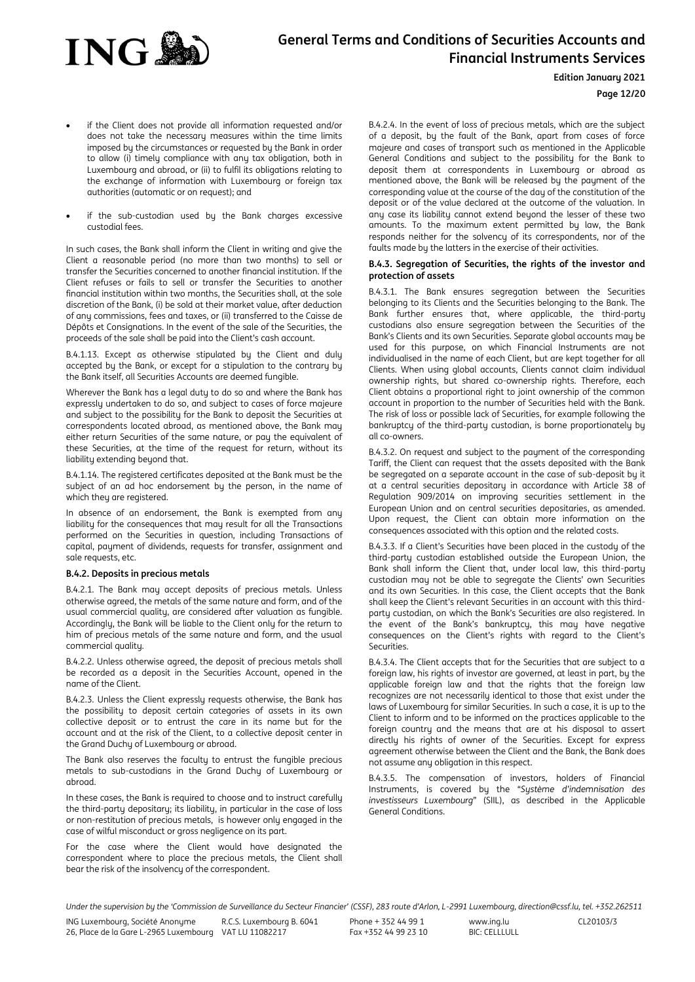

#### **Edition January 2021**

## **Page 12/20**

- if the Client does not provide all information requested and/or does not take the necessary measures within the time limits imposed by the circumstances or requested by the Bank in order to allow (i) timely compliance with any tax obligation, both in Luxembourg and abroad, or (ii) to fulfil its obligations relating to the exchange of information with Luxembourg or foreign tax authorities (automatic or on request); and
- if the sub-custodian used by the Bank charges excessive custodial fees.

In such cases, the Bank shall inform the Client in writing and give the Client a reasonable period (no more than two months) to sell or transfer the Securities concerned to another financial institution. If the Client refuses or fails to sell or transfer the Securities to another financial institution within two months, the Securities shall, at the sole discretion of the Bank, (i) be sold at their market value, after deduction of any commissions, fees and taxes, or (ii) transferred to the Caisse de Dépôts et Consignations. In the event of the sale of the Securities, the proceeds of the sale shall be paid into the Client's cash account.

B.4.1.13. Except as otherwise stipulated by the Client and duly accepted by the Bank, or except for a stipulation to the contrary by the Bank itself, all Securities Accounts are deemed fungible.

Wherever the Bank has a legal duty to do so and where the Bank has expressly undertaken to do so, and subject to cases of force majeure and subject to the possibility for the Bank to deposit the Securities at correspondents located abroad, as mentioned above, the Bank may either return Securities of the same nature, or pay the equivalent of these Securities, at the time of the request for return, without its liability extending beyond that.

B.4.1.14. The registered certificates deposited at the Bank must be the subject of an ad hoc endorsement by the person, in the name of which they are registered.

In absence of an endorsement, the Bank is exempted from any liability for the consequences that may result for all the Transactions performed on the Securities in question, including Transactions of capital, payment of dividends, requests for transfer, assignment and sale requests, etc.

## **B.4.2. Deposits in precious metals**

B.4.2.1. The Bank may accept deposits of precious metals. Unless otherwise agreed, the metals of the same nature and form, and of the usual commercial quality, are considered after valuation as fungible. Accordingly, the Bank will be liable to the Client only for the return to him of precious metals of the same nature and form, and the usual commercial quality.

B.4.2.2. Unless otherwise agreed, the deposit of precious metals shall be recorded as a deposit in the Securities Account, opened in the name of the Client.

B.4.2.3. Unless the Client expressly requests otherwise, the Bank has the possibility to deposit certain categories of assets in its own collective deposit or to entrust the care in its name but for the account and at the risk of the Client, to a collective deposit center in the Grand Duchy of Luxembourg or abroad.

The Bank also reserves the faculty to entrust the fungible precious metals to sub-custodians in the Grand Duchy of Luxembourg or abroad.

In these cases, the Bank is required to choose and to instruct carefully the third-party depositary; its liability, in particular in the case of loss or non-restitution of precious metals, is however only engaged in the case of wilful misconduct or gross negligence on its part.

For the case where the Client would have designated the correspondent where to place the precious metals, the Client shall bear the risk of the insolvency of the correspondent.

B.4.2.4. In the event of loss of precious metals, which are the subject of a deposit, by the fault of the Bank, apart from cases of force majeure and cases of transport such as mentioned in the Applicable General Conditions and subject to the possibility for the Bank to deposit them at correspondents in Luxembourg or abroad as mentioned above, the Bank will be released bu the payment of the corresponding value at the course of the day of the constitution of the deposit or of the value declared at the outcome of the valuation. In any case its liability cannot extend beyond the lesser of these two amounts. To the maximum extent permitted by law, the Bank responds neither for the solvency of its correspondents, nor of the faults made by the latters in the exercise of their activities.

#### **B.4.3. Segregation of Securities, the rights of the investor and protection of assets**

B.4.3.1. The Bank ensures segregation between the Securities belonging to its Clients and the Securities belonging to the Bank. The Bank further ensures that, where applicable, the third-party custodians also ensure segregation between the Securities of the Bank's Clients and its own Securities. Separate global accounts may be used for this purpose, on which Financial Instruments are not individualised in the name of each Client, but are kept together for all Clients. When using global accounts, Clients cannot claim individual ownership rights, but shared co-ownership rights. Therefore, each Client obtains a proportional right to joint ownership of the common account in proportion to the number of Securities held with the Bank. The risk of loss or possible lack of Securities, for example following the bankruptcy of the third-party custodian, is borne proportionately by all co-owners.

B.4.3.2. On request and subject to the payment of the corresponding Tariff, the Client can request that the assets deposited with the Bank be segregated on a separate account in the case of sub-deposit by it at a central securities depositary in accordance with Article 38 of Regulation 909/2014 on improving securities settlement in the European Union and on central securities depositaries, as amended. Upon request, the Client can obtain more information on the consequences associated with this option and the related costs.

B.4.3.3. If a Client's Securities have been placed in the custody of the third-party custodian established outside the European Union, the Bank shall inform the Client that, under local law, this third-party custodian may not be able to segregate the Clients' own Securities and its own Securities. In this case, the Client accepts that the Bank shall keep the Client's relevant Securities in an account with this thirdparty custodian, on which the Bank's Securities are also registered. In the event of the Bank's bankruptcy, this may have negative consequences on the Client's rights with regard to the Client's Securities.

B.4.3.4. The Client accepts that for the Securities that are subject to a foreign law, his rights of investor are governed, at least in part, by the applicable foreign law and that the rights that the foreign law recognizes are not necessarily identical to those that exist under the laws of Luxembourg for similar Securities. In such a case, it is up to the Client to inform and to be informed on the practices applicable to the foreign country and the means that are at his disposal to assert directly his rights of owner of the Securities. Except for express agreement otherwise between the Client and the Bank, the Bank does not assume any obligation in this respect.

B.4.3.5. The compensation of investors, holders of Financial Instruments, is covered by the "*Système d'indemnisation des investisseurs Luxembourg*" (SIIL), as described in the Applicable General Conditions.

Under the supervision by the 'Commission de Surveillance du Secteur Financier' (CSSF), 283 route d'Arlon, L-2991 Luxembourg, direction@cssf.lu, tel. +352.262511

ING Luxembourg, Société Anonyme 26, Place de la Gare L-2965 Luxembourg VAT LU 11082217 R.C.S. Luxembourg B. 6041 Phone + 352 44 99 1 Fax +352 44 99 23 10 www.ing.lu BIC: CELLLULL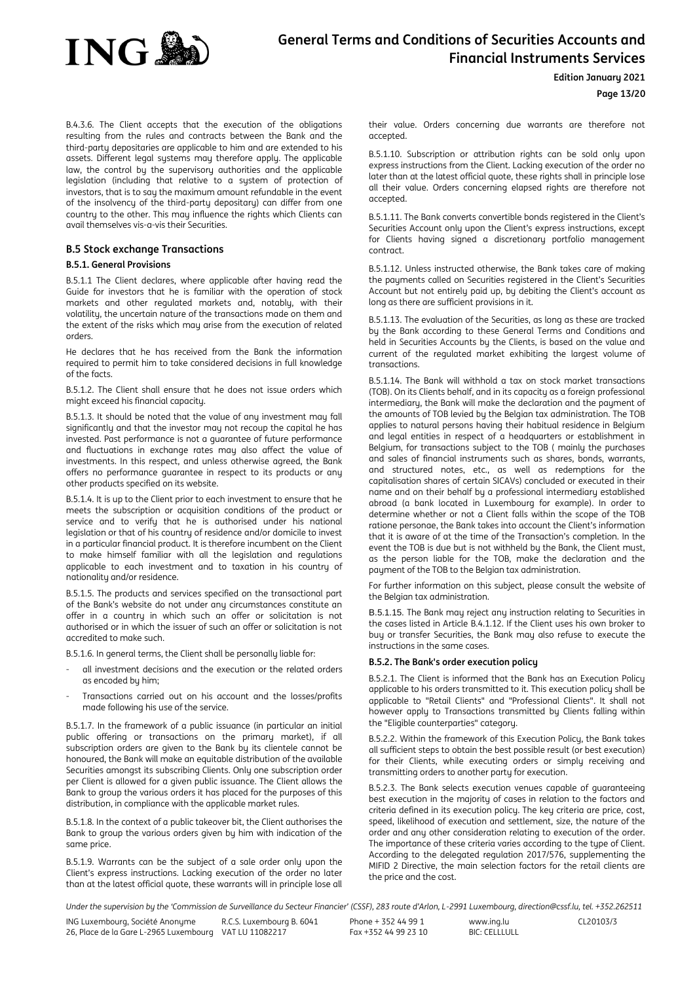

#### **Edition January 2021**

**Page 13/20**

B.4.3.6. The Client accepts that the execution of the obligations resulting from the rules and contracts between the Bank and the third-party depositaries are applicable to him and are extended to his assets. Different legal systems may therefore apply. The applicable law, the control by the supervisory authorities and the applicable legislation (including that relative to a sustem of protection of investors, that is to say the maximum amount refundable in the event of the insolvency of the third-party depositary) can differ from one country to the other. This may influence the rights which Clients can avail themselves vis-a-vis their Securities.

## <span id="page-12-0"></span>**B.5 Stock exchange Transactions**

#### **B.5.1. General Provisions**

B.5.1.1 The Client declares, where applicable after having read the Guide for investors that he is familiar with the operation of stock markets and other regulated markets and, notably, with their volatility, the uncertain nature of the transactions made on them and the extent of the risks which may arise from the execution of related orders.

He declares that he has received from the Bank the information required to permit him to take considered decisions in full knowledge of the facts.

B.5.1.2. The Client shall ensure that he does not issue orders which might exceed his financial capacity.

B.5.1.3. It should be noted that the value of any investment may fall significantly and that the investor may not recoup the capital he has invested. Past performance is not a guarantee of future performance and fluctuations in exchange rates may also affect the value of investments. In this respect, and unless otherwise agreed, the Bank offers no performance guarantee in respect to its products or any other products specified on its website.

B.5.1.4. It is up to the Client prior to each investment to ensure that he meets the subscription or acquisition conditions of the product or service and to verify that he is authorised under his national legislation or that of his country of residence and/or domicile to invest in a particular financial product. It is therefore incumbent on the Client to make himself familiar with all the legislation and regulations applicable to each investment and to taxation in his country of nationality and/or residence.

B.5.1.5. The products and services specified on the transactional part of the Bank's website do not under any circumstances constitute an offer in a country in which such an offer or solicitation is not authorised or in which the issuer of such an offer or solicitation is not accredited to make such.

B.5.1.6. In general terms, the Client shall be personally liable for:

- all investment decisions and the execution or the related orders as encoded by him;
- Transactions carried out on his account and the losses/profits made following his use of the service.

B.5.1.7. In the framework of a public issuance (in particular an initial public offering or transactions on the primary market), if all subscription orders are given to the Bank by its clientele cannot be honoured, the Bank will make an equitable distribution of the available Securities amongst its subscribing Clients. Only one subscription order per Client is allowed for a given public issuance. The Client allows the Bank to group the various orders it has placed for the purposes of this distribution, in compliance with the applicable market rules.

B.5.1.8. In the context of a public takeover bit, the Client authorises the Bank to group the various orders given by him with indication of the same price.

B.5.1.9. Warrants can be the subject of a sale order only upon the Client's express instructions. Lacking execution of the order no later than at the latest official quote, these warrants will in principle lose all their value. Orders concerning due warrants are therefore not accepted.

B.5.1.10. Subscription or attribution rights can be sold only upon express instructions from the Client. Lacking execution of the order no later than at the latest official quote, these rights shall in principle lose all their value. Orders concerning elapsed rights are therefore not accepted.

B.5.1.11. The Bank converts convertible bonds registered in the Client's Securities Account only upon the Client's express instructions, except for Clients having signed a discretionary portfolio management contract.

B.5.1.12. Unless instructed otherwise, the Bank takes care of making the payments called on Securities registered in the Client's Securities Account but not entirely paid up, by debiting the Client's account as long as there are sufficient provisions in it.

B.5.1.13. The evaluation of the Securities, as long as these are tracked by the Bank according to these General Terms and Conditions and held in Securities Accounts by the Clients, is based on the value and current of the regulated market exhibiting the largest volume of transactions.

B.5.1.14. The Bank will withhold a tax on stock market transactions (TOB). On its Clients behalf, and in its capacity as a foreign professional intermediary, the Bank will make the declaration and the payment of the amounts of TOB levied by the Belgian tax administration. The TOB applies to natural persons having their habitual residence in Belgium and legal entities in respect of a headquarters or establishment in Belgium, for transactions subject to the TOB ( mainly the purchases and sales of financial instruments such as shares, bonds, warrants, and structured notes, etc., as well as redemptions for the capitalisation shares of certain SICAVs) concluded or executed in their name and on their behalf by a professional intermediary established abroad (a bank located in Luxembourg for example). In order to determine whether or not a Client falls within the scope of the TOB ratione personae, the Bank takes into account the Client's information that it is aware of at the time of the Transaction's completion. In the event the TOB is due but is not withheld by the Bank, the Client must, as the person liable for the TOB, make the declaration and the payment of the TOB to the Belgian tax administration.

For further information on this subject, please consult the website of the Belgian tax administration.

B.5.1.15. The Bank may reject any instruction relating to Securities in the cases listed in Article B.4.1.12. If the Client uses his own broker to buy or transfer Securities, the Bank may also refuse to execute the instructions in the same cases.

#### **B.5.2. The Bank's order execution policy**

B.5.2.1. The Client is informed that the Bank has an Execution Policy applicable to his orders transmitted to it. This execution policy shall be applicable to "Retail Clients" and "Professional Clients". It shall not however apply to Transactions transmitted by Clients falling within the "Eligible counterparties" category.

B.5.2.2. Within the framework of this Execution Policy, the Bank takes all sufficient steps to obtain the best possible result (or best execution) for their Clients, while executing orders or simply receiving and transmitting orders to another party for execution.

B.5.2.3. The Bank selects execution venues capable of guaranteeing best execution in the majority of cases in relation to the factors and criteria defined in its execution policy. The key criteria are price, cost, speed, likelihood of execution and settlement, size, the nature of the order and any other consideration relating to execution of the order. The importance of these criteria varies according to the type of Client. According to the delegated regulation 2017/576, supplementing the MIFID 2 Directive, the main selection factors for the retail clients are the price and the cost.

Under the supervision by the 'Commission de Surveillance du Secteur Financier' (CSSF), 283 route d'Arlon, L-2991 Luxembourg, direction@cssf.lu, tel. +352.262511

ING Luxembourg, Société Anonyme 26, Place de la Gare L-2965 Luxembourg VAT LU 11082217 R.C.S. Luxembourg B. 6041 Phone + 352 44 99 1 Fax +352 44 99 23 10 www.ing.lu BIC: CELLLULL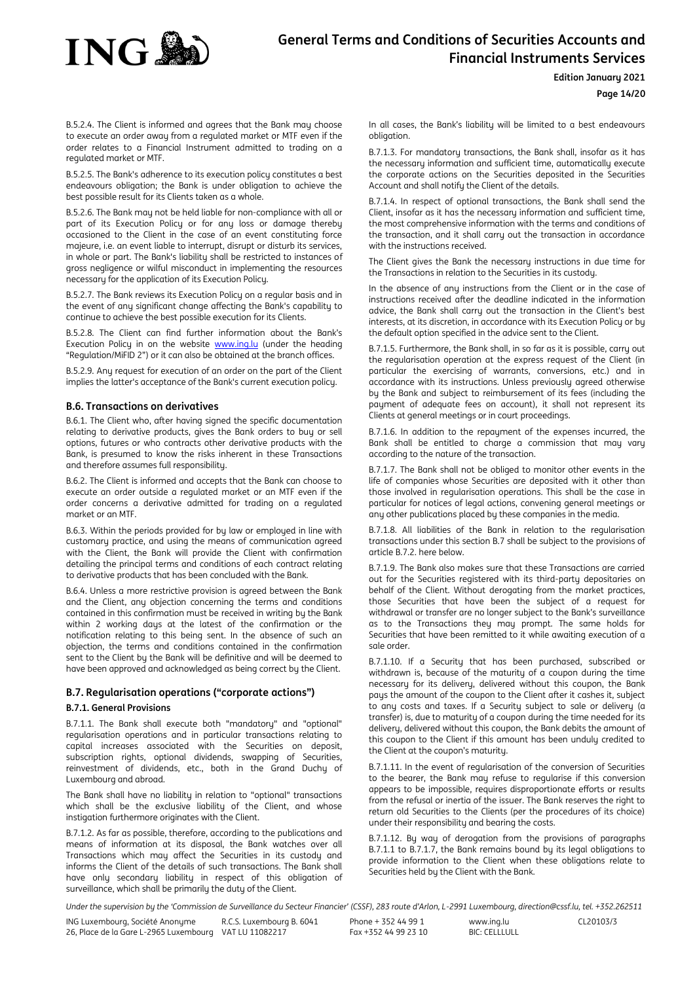

#### **Edition January 2021**

**Page 14/20**

B.5.2.4. The Client is informed and agrees that the Bank may choose to execute an order away from a regulated market or MTF even if the order relates to a Financial Instrument admitted to trading on a regulated market or MTF.

B.5.2.5. The Bank's adherence to its execution policy constitutes a best endeavours obligation; the Bank is under obligation to achieve the best possible result for its Clients taken as a whole.

B.5.2.6. The Bank may not be held liable for non-compliance with all or part of its Execution Policy or for any loss or damage thereby occasioned to the Client in the case of an event constituting force majeure, i.e. an event liable to interrupt, disrupt or disturb its services, in whole or part. The Bank's liability shall be restricted to instances of gross negligence or wilful misconduct in implementing the resources necessary for the application of its Execution Policy.

B.5.2.7. The Bank reviews its Execution Policy on a regular basis and in the event of any significant change affecting the Bank's capability to continue to achieve the best possible execution for its Clients.

B.5.2.8. The Client can find further information about the Bank's Execution Policy in on the website www.ing.lu (under the heading "Regulation/MiFID 2") or it can also be obtained at the branch offices.

B.5.2.9. Any request for execution of an order on the part of the Client implies the latter's acceptance of the Bank's current execution policy.

#### <span id="page-13-0"></span>**B.6. Transactions on derivatives**

B.6.1. The Client who, after having signed the specific documentation relating to derivative products, gives the Bank orders to buy or sell options, futures or who contracts other derivative products with the Bank, is presumed to know the risks inherent in these Transactions and therefore assumes full responsibility.

B.6.2. The Client is informed and accepts that the Bank can choose to execute an order outside a regulated market or an MTF even if the order concerns a derivative admitted for trading on a regulated market or an MTF.

B.6.3. Within the periods provided for by law or employed in line with customary practice, and using the means of communication agreed with the Client, the Bank will provide the Client with confirmation detailing the principal terms and conditions of each contract relating to derivative products that has been concluded with the Bank.

B.6.4. Unless a more restrictive provision is agreed between the Bank and the Client, any objection concerning the terms and conditions contained in this confirmation must be received in writing by the Bank within 2 working days at the latest of the confirmation or the notification relating to this being sent. In the absence of such an objection, the terms and conditions contained in the confirmation sent to the Client by the Bank will be definitive and will be deemed to have been approved and acknowledged as being correct by the Client.

### <span id="page-13-1"></span>**B.7. Regularisation operations ("corporate actions") B.7.1. General Provisions**

B.7.1.1. The Bank shall execute both "mandatory" and "optional" regularisation operations and in particular transactions relating to capital increases associated with the Securities on deposit, subscription rights, optional dividends, swapping of Securities, reinvestment of dividends, etc., both in the Grand Duchy of Luxembourg and abroad.

The Bank shall have no liability in relation to "optional" transactions which shall be the exclusive liability of the Client, and whose instigation furthermore originates with the Client.

B.7.1.2. As far as possible, therefore, according to the publications and means of information at its disposal, the Bank watches over all Transactions which may affect the Securities in its custody and informs the Client of the details of such transactions. The Bank shall have only secondary liability in respect of this obligation of surveillance, which shall be primarily the duty of the Client.

In all cases, the Bank's liability will be limited to a best endeavours obligation.

B.7.1.3. For mandatory transactions, the Bank shall, insofar as it has the necessary information and sufficient time, automatically execute the corporate actions on the Securities deposited in the Securities Account and shall notify the Client of the details.

B.7.1.4. In respect of optional transactions, the Bank shall send the Client, insofar as it has the necessary information and sufficient time, the most comprehensive information with the terms and conditions of the transaction, and it shall carry out the transaction in accordance with the instructions received.

The Client gives the Bank the necessary instructions in due time for the Transactions in relation to the Securities in its custody.

In the absence of any instructions from the Client or in the case of instructions received after the deadline indicated in the information advice, the Bank shall carry out the transaction in the Client's best interests, at its discretion, in accordance with its Execution Policy or by the default option specified in the advice sent to the Client.

B.7.1.5. Furthermore, the Bank shall, in so far as it is possible, carry out the regularisation operation at the express request of the Client (in particular the exercising of warrants, conversions, etc.) and in accordance with its instructions. Unless previously agreed otherwise by the Bank and subject to reimbursement of its fees (including the payment of adequate fees on account), it shall not represent its Clients at general meetings or in court proceedings.

B.7.1.6. In addition to the repayment of the expenses incurred, the Bank shall be entitled to charge a commission that may vary according to the nature of the transaction.

B.7.1.7. The Bank shall not be obliged to monitor other events in the life of companies whose Securities are deposited with it other than those involved in regularisation operations. This shall be the case in particular for notices of legal actions, convening general meetings or any other publications placed by these companies in the media.

B.7.1.8. All liabilities of the Bank in relation to the regularisation transactions under this section B.7 shall be subject to the provisions of article B.7.2. here below.

B.7.1.9. The Bank also makes sure that these Transactions are carried out for the Securities registered with its third-party depositaries on behalf of the Client. Without derogating from the market practices, those Securities that have been the subject of a request for withdrawal or transfer are no longer subject to the Bank's surveillance as to the Transactions they may prompt. The same holds for Securities that have been remitted to it while awaiting execution of a sale order.

B.7.1.10. If a Security that has been purchased, subscribed or withdrawn is, because of the maturity of a coupon during the time necessary for its delivery, delivered without this coupon, the Bank pays the amount of the coupon to the Client after it cashes it, subject to any costs and taxes. If a Security subject to sale or delivery (a transfer) is, due to maturity of a coupon during the time needed for its delivery, delivered without this coupon, the Bank debits the amount of this coupon to the Client if this amount has been unduly credited to the Client at the coupon's maturity.

B.7.1.11. In the event of regularisation of the conversion of Securities to the bearer, the Bank may refuse to regularise if this conversion appears to be impossible, requires disproportionate efforts or results from the refusal or inertia of the issuer. The Bank reserves the right to return old Securities to the Clients (per the procedures of its choice) under their responsibility and bearing the costs.

B.7.1.12. By way of derogation from the provisions of paragraphs B.7.1.1 to B.7.1.7, the Bank remains bound by its legal obligations to provide information to the Client when these obligations relate to Securities held by the Client with the Bank.

Under the supervision by the 'Commission de Surveillance du Secteur Financier' (CSSF), 283 route d'Arlon, L-2991 Luxembourg, direction@cssf.lu, tel. +352.262511

ING Luxembourg, Société Anonyme 26, Place de la Gare L-2965 Luxembourg VAT LU 11082217 R.C.S. Luxembourg B. 6041 Phone + 352 44 99 1 Fax +352 44 99 23 10 www.ing.lu BIC: CELLLULL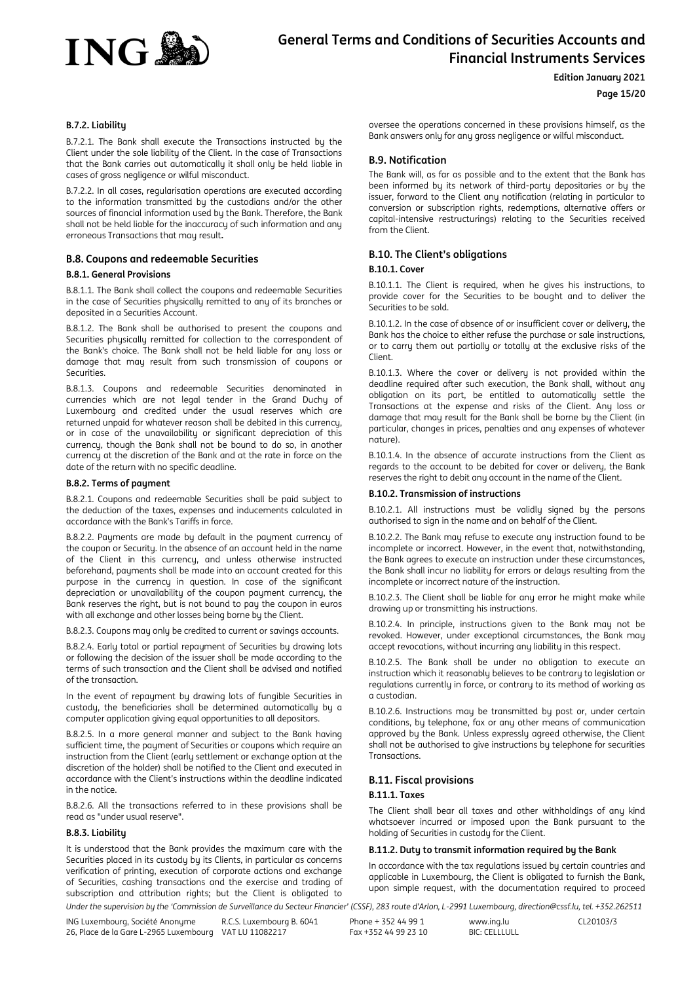

#### **Edition January 2021**

## **Page 15/20**

#### **B.7.2. Liability**

B.7.2.1. The Bank shall execute the Transactions instructed by the Client under the sole liability of the Client. In the case of Transactions that the Bank carries out automatically it shall only be held liable in cases of gross negligence or wilful misconduct.

B.7.2.2. In all cases, regularisation operations are executed according to the information transmitted by the custodians and/or the other sources of financial information used by the Bank. Therefore, the Bank shall not be held liable for the inaccuracy of such information and any erroneous Transactions that may result**.**

#### <span id="page-14-0"></span>**B.8. Coupons and redeemable Securities**

#### **B.8.1. General Provisions**

B.8.1.1. The Bank shall collect the coupons and redeemable Securities in the case of Securities physically remitted to any of its branches or deposited in a Securities Account.

B.8.1.2. The Bank shall be authorised to present the coupons and Securities physically remitted for collection to the correspondent of the Bank's choice. The Bank shall not be held liable for any loss or damage that may result from such transmission of coupons or Securities.

B.8.1.3. Coupons and redeemable Securities denominated in currencies which are not legal tender in the Grand Duchy of Luxembourg and credited under the usual reserves which are returned unpaid for whatever reason shall be debited in this currency, or in case of the unavailability or significant depreciation of this currency, though the Bank shall not be bound to do so, in another currency at the discretion of the Bank and at the rate in force on the date of the return with no specific deadline.

#### **B.8.2. Terms of payment**

B.8.2.1. Coupons and redeemable Securities shall be paid subject to the deduction of the taxes, expenses and inducements calculated in accordance with the Bank's Tariffs in force.

B.8.2.2. Payments are made by default in the payment currency of the coupon or Security. In the absence of an account held in the name of the Client in this currency, and unless otherwise instructed beforehand, payments shall be made into an account created for this purpose in the currency in question. In case of the significant depreciation or unavailability of the coupon payment currency, the Bank reserves the right, but is not bound to pay the coupon in euros with all exchange and other losses being borne by the Client.

B.8.2.3. Coupons may only be credited to current or savings accounts.

B.8.2.4. Early total or partial repayment of Securities by drawing lots or following the decision of the issuer shall be made according to the terms of such transaction and the Client shall be advised and notified of the transaction.

In the event of repayment by drawing lots of fungible Securities in custody, the beneficiaries shall be determined automatically by a computer application giving equal opportunities to all depositors.

B.8.2.5. In a more general manner and subject to the Bank having sufficient time, the payment of Securities or coupons which require an instruction from the Client (early settlement or exchange option at the discretion of the holder) shall be notified to the Client and executed in accordance with the Client's instructions within the deadline indicated in the notice.

B.8.2.6. All the transactions referred to in these provisions shall be read as "under usual reserve".

#### **B.8.3. Liability**

It is understood that the Bank provides the maximum care with the Securities placed in its custody by its Clients, in particular as concerns verification of printing, execution of corporate actions and exchange of Securities, cashing transactions and the exercise and trading of subscription and attribution rights; but the Client is obligated to oversee the operations concerned in these provisions himself, as the Bank answers only for any gross negligence or wilful misconduct.

### <span id="page-14-1"></span>**B.9. Notification**

The Bank will, as far as possible and to the extent that the Bank has been informed by its network of third-party depositaries or by the issuer, forward to the Client any notification (relating in particular to conversion or subscription rights, redemptions, alternative offers or capital-intensive restructurings) relating to the Securities received from the Client.

#### <span id="page-14-2"></span>**B.10. The Client's obligations**

#### **B.10.1. Cover**

B.10.1.1. The Client is required, when he gives his instructions, to provide cover for the Securities to be bought and to deliver the Securities to be sold.

B.10.1.2. In the case of absence of or insufficient cover or delivery, the Bank has the choice to either refuse the purchase or sale instructions, or to carry them out partially or totally at the exclusive risks of the Client.

B.10.1.3. Where the cover or delivery is not provided within the deadline required after such execution, the Bank shall, without any obligation on its part, be entitled to automatically settle the Transactions at the expense and risks of the Client. Any loss or damage that may result for the Bank shall be borne by the Client (in particular, changes in prices, penalties and any expenses of whatever nature).

B.10.1.4. In the absence of accurate instructions from the Client as regards to the account to be debited for cover or delivery, the Bank reserves the right to debit any account in the name of the Client.

#### **B.10.2. Transmission of instructions**

B.10.2.1. All instructions must be validly signed by the persons authorised to sign in the name and on behalf of the Client.

B.10.2.2. The Bank may refuse to execute any instruction found to be incomplete or incorrect. However, in the event that, notwithstanding, the Bank agrees to execute an instruction under these circumstances, the Bank shall incur no liability for errors or delays resulting from the incomplete or incorrect nature of the instruction.

B.10.2.3. The Client shall be liable for any error he might make while drawing up or transmitting his instructions.

B.10.2.4. In principle, instructions given to the Bank may not be revoked. However, under exceptional circumstances, the Bank may accept revocations, without incurring any liability in this respect.

B.10.2.5. The Bank shall be under no obligation to execute an instruction which it reasonably believes to be contrary to legislation or regulations currently in force, or contrary to its method of working as a custodian.

B.10.2.6. Instructions may be transmitted by post or, under certain conditions, by telephone, fax or any other means of communication approved by the Bank. Unless expressly agreed otherwise, the Client shall not be authorised to give instructions by telephone for securities Transactions.

#### <span id="page-14-3"></span>**B.11. Fiscal provisions**

#### **B.11.1. Taxes**

The Client shall bear all taxes and other withholdings of any kind whatsoever incurred or imposed upon the Bank pursuant to the holding of Securities in custody for the Client.

#### **B.11.2. Duty to transmit information required by the Bank**

In accordance with the tax regulations issued by certain countries and applicable in Luxembourg, the Client is obligated to furnish the Bank, upon simple request, with the documentation required to proceed

Under the supervision by the 'Commission de Surveillance du Secteur Financier' (CSSF), 283 route d'Arlon, L-2991 Luxembourg, direction@cssf.lu, tel. +352.262511

ING Luxembourg, Société Anonyme 26, Place de la Gare L-2965 Luxembourg VAT LU 11082217 R.C.S. Luxembourg B. 6041 Phone + 352 44 99 1 Fax +352 44 99 23 10 www.ing.lu BIC: CELLLULL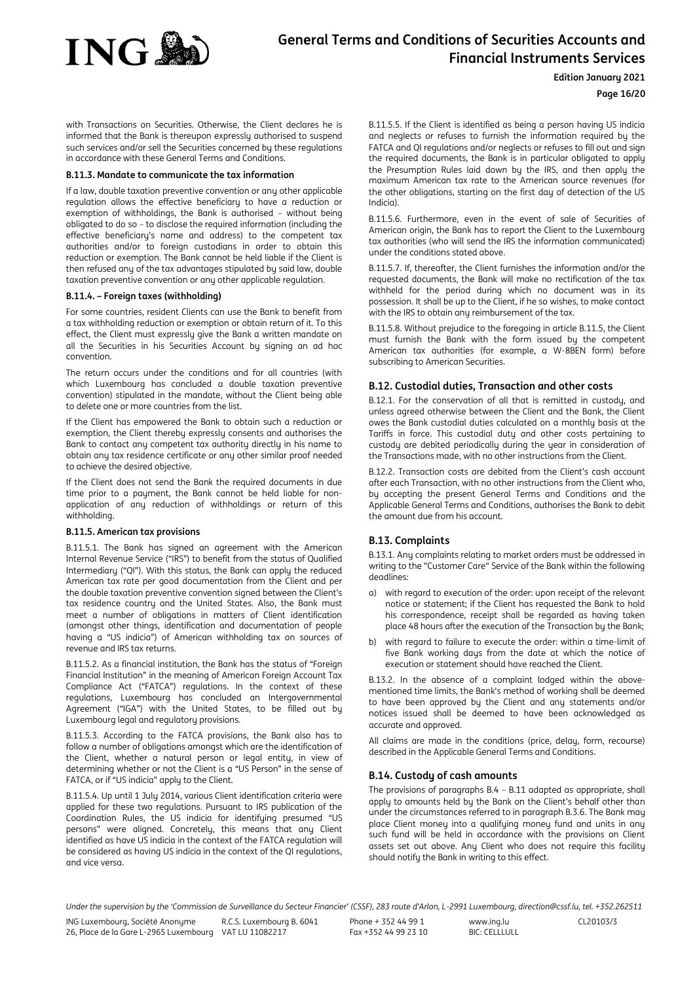

#### **Edition January 2021**

### **Page 16/20**

with Transactions on Securities. Otherwise, the Client declares he is informed that the Bank is thereupon expressly authorised to suspend such services and/or sell the Securities concerned by these regulations in accordance with these General Terms and Conditions.

#### **B.11.3. Mandate to communicate the tax information**

If a law, double taxation preventive convention or any other applicable regulation allows the effective beneficiary to have a reduction or exemption of withholdings, the Bank is authorised – without being obligated to do so – to disclose the required information (including the effective beneficiary's name and address) to the competent tax authorities and/or to foreign custodians in order to obtain this reduction or exemption. The Bank cannot be held liable if the Client is then refused any of the tax advantages stipulated by said law, double taxation preventive convention or any other applicable regulation.

#### **B.11.4. – Foreign taxes (withholding)**

For some countries, resident Clients can use the Bank to benefit from a tax withholding reduction or exemption or obtain return of it. To this effect, the Client must expressly give the Bank a written mandate on all the Securities in his Securities Account by signing an ad hoc convention.

The return occurs under the conditions and for all countries (with which Luxembourg has concluded a double taxation preventive convention) stipulated in the mandate, without the Client being able to delete one or more countries from the list.

If the Client has empowered the Bank to obtain such a reduction or exemption, the Client thereby expressly consents and authorises the Bank to contact any competent tax authority directly in his name to obtain any tax residence certificate or any other similar proof needed to achieve the desired objective.

If the Client does not send the Bank the required documents in due time prior to a payment, the Bank cannot be held liable for nonapplication of any reduction of withholdings or return of this withholding.

#### **B.11.5. American tax provisions**

B.11.5.1. The Bank has signed an agreement with the American Internal Revenue Service ("IRS") to benefit from the status of Qualified Intermediary ("QI"). With this status, the Bank can apply the reduced American tax rate per good documentation from the Client and per the double taxation preventive convention signed between the Client's tax residence country and the United States. Also, the Bank must meet a number of obligations in matters of Client identification (amongst other things, identification and documentation of people having a "US indicia") of American withholding tax on sources of revenue and IRS tax returns.

B.11.5.2. As a financial institution, the Bank has the status of "Foreign Financial Institution" in the meaning of American Foreign Account Tax Compliance Act ("FATCA") regulations. In the context of these regulations, Luxembourg has concluded an Intergovernmental Agreement ("IGA") with the United States, to be filled out by Luxembourg legal and regulatory provisions.

B.11.5.3. According to the FATCA provisions, the Bank also has to follow a number of obligations amongst which are the identification of the Client, whether a natural person or legal entity, in view of determining whether or not the Client is a "US Person" in the sense of FATCA, or if "US indicia" apply to the Client.

B.11.5.4. Up until 1 July 2014, various Client identification criteria were applied for these two regulations. Pursuant to IRS publication of the Coordination Rules, the US indicia for identifying presumed "US persons" were aligned. Concretely, this means that any Client identified as have US indicia in the context of the FATCA regulation will be considered as having US indicia in the context of the OI regulations. and vice versa.

B.11.5.5. If the Client is identified as being a person having US indicia and neglects or refuses to furnish the information required by the FATCA and QI regulations and/or neglects or refuses to fill out and sign the required documents, the Bank is in particular obligated to apply the Presumption Rules laid down by the IRS, and then apply the maximum American tax rate to the American source revenues (for the other obligations, starting on the first day of detection of the US Indicia).

B.11.5.6. Furthermore, even in the event of sale of Securities of American origin, the Bank has to report the Client to the Luxembourg tax authorities (who will send the IRS the information communicated) under the conditions stated above.

B.11.5.7. If, thereafter, the Client furnishes the information and/or the requested documents, the Bank will make no rectification of the tax withheld for the period during which no document was in its possession. It shall be up to the Client, if he so wishes, to make contact with the IRS to obtain any reimbursement of the tax.

B.11.5.8. Without prejudice to the foregoing in article B.11.5, the Client must furnish the Bank with the form issued by the competent American tax authorities (for example, a W-8BEN form) before subscribing to American Securities.

### <span id="page-15-0"></span>**B.12. Custodial duties, Transaction and other costs**

B.12.1. For the conservation of all that is remitted in custody, and unless agreed otherwise between the Client and the Bank, the Client owes the Bank custodial duties calculated on a monthly basis at the Tariffs in force. This custodial duty and other costs pertaining to custody are debited periodically during the year in consideration of the Transactions made, with no other instructions from the Client.

B.12.2. Transaction costs are debited from the Client's cash account after each Transaction, with no other instructions from the Client who, by accepting the present General Terms and Conditions and the Applicable General Terms and Conditions, authorises the Bank to debit the amount due from his account.

## <span id="page-15-1"></span>**B.13. Complaints**

B.13.1. Any complaints relating to market orders must be addressed in writing to the "Customer Care" Service of the Bank within the following deadlines:

- a) with regard to execution of the order: upon receipt of the relevant notice or statement; if the Client has requested the Bank to hold his correspondence, receipt shall be regarded as having taken place 48 hours after the execution of the Transaction by the Bank;
- b) with regard to failure to execute the order: within a time-limit of five Bank working days from the date at which the notice of execution or statement should have reached the Client.

B.13.2. In the absence of a complaint lodged within the abovementioned time limits, the Bank's method of working shall be deemed to have been approved by the Client and any statements and/or notices issued shall be deemed to have been acknowledged as accurate and approved.

All claims are made in the conditions (price, delay, form, recourse) described in the Applicable General Terms and Conditions.

### <span id="page-15-2"></span>**B.14. Custody of cash amounts**

The provisions of paragraphs B.4 – B.11 adapted as appropriate, shall apply to amounts held by the Bank on the Client's behalf other than under the circumstances referred to in paragraph B.3.6. The Bank may place Client money into a qualifying money fund and units in any such fund will be held in accordance with the provisions on Client assets set out above. Any Client who does not require this facility should notify the Bank in writing to this effect.

Under the supervision by the 'Commission de Surveillance du Secteur Financier' (CSSF), 283 route d'Arlon, L-2991 Luxembourg, direction@cssf.lu, tel. +352.262511

ING Luxembourg, Société Anonyme 26, Place de la Gare L-2965 Luxembourg VAT LU 11082217 R.C.S. Luxembourg B. 6041 Phone + 352 44 99 1 Fax +352 44 99 23 10 www.ing.lu BIC: CELLLULL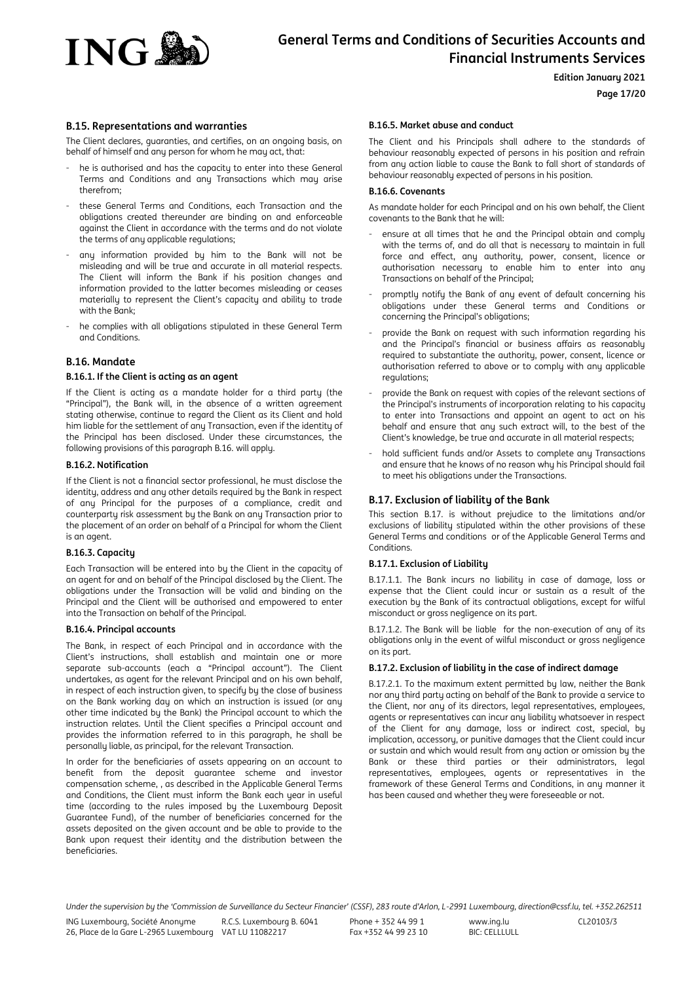

**Edition January 2021**

### **Page 17/20**

#### <span id="page-16-0"></span>**B.15. Representations and warranties**

The Client declares, guaranties, and certifies, on an ongoing basis, on behalf of himself and any person for whom he may act, that:

- he is authorised and has the capacity to enter into these General Terms and Conditions and any Transactions which may arise therefrom;
- these General Terms and Conditions, each Transaction and the obligations created thereunder are binding on and enforceable against the Client in accordance with the terms and do not violate the terms of any applicable regulations:
- any information provided by him to the Bank will not be misleading and will be true and accurate in all material respects. The Client will inform the Bank if his position changes and information provided to the latter becomes misleading or ceases materially to represent the Client's capacity and ability to trade with the Bank;
- he complies with all obligations stipulated in these General Term and Conditions.

#### <span id="page-16-1"></span>**B.16. Mandate**

#### **B.16.1. If the Client is acting as an agent**

If the Client is acting as a mandate holder for a third party (the "Principal"), the Bank will, in the absence of a written agreement stating otherwise, continue to regard the Client as its Client and hold him liable for the settlement of any Transaction, even if the identity of the Principal has been disclosed. Under these circumstances, the following provisions of this paragraph B.16. will apply.

#### **B.16.2. Notification**

If the Client is not a financial sector professional, he must disclose the identity, address and any other details required by the Bank in respect of any Principal for the purposes of a compliance, credit and counterparty risk assessment by the Bank on any Transaction prior to the placement of an order on behalf of a Principal for whom the Client is an agent.

#### **B.16.3. Capacity**

Each Transaction will be entered into by the Client in the capacity of an agent for and on behalf of the Principal disclosed by the Client. The obligations under the Transaction will be valid and binding on the Principal and the Client will be authorised and empowered to enter into the Transaction on behalf of the Principal.

#### **B.16.4. Principal accounts**

The Bank, in respect of each Principal and in accordance with the Client's instructions, shall establish and maintain one or more separate sub-accounts (each a "Principal account"). The Client undertakes, as agent for the relevant Principal and on his own behalf, in respect of each instruction given, to specify by the close of business on the Bank working day on which an instruction is issued (or any other time indicated by the Bank) the Principal account to which the instruction relates. Until the Client specifies a Principal account and provides the information referred to in this paragraph, he shall be personally liable, as principal, for the relevant Transaction.

In order for the beneficiaries of assets appearing on an account to benefit from the deposit guarantee scheme and investor compensation scheme, , as described in the Applicable General Terms and Conditions, the Client must inform the Bank each year in useful time (according to the rules imposed by the Luxembourg Deposit Guarantee Fund), of the number of beneficiaries concerned for the assets deposited on the given account and be able to provide to the Bank upon request their identity and the distribution between the beneficiaries.

#### **B.16.5. Market abuse and conduct**

The Client and his Principals shall adhere to the standards of behaviour reasonably expected of persons in his position and refrain from any action liable to cause the Bank to fall short of standards of behaviour reasonably expected of persons in his position.

#### **B.16.6. Covenants**

As mandate holder for each Principal and on his own behalf, the Client covenants to the Bank that he will:

- ensure at all times that he and the Principal obtain and comply with the terms of, and do all that is necessary to maintain in full force and effect, any authority, power, consent, licence or authorisation necessary to enable him to enter into any Transactions on behalf of the Principal;
- promptly notify the Bank of any event of default concerning his obligations under these General terms and Conditions or concerning the Principal's obligations;
- provide the Bank on request with such information regarding his and the Principal's financial or business affairs as reasonably required to substantiate the authority, power, consent, licence or authorisation referred to above or to comply with any applicable regulations;
- provide the Bank on request with copies of the relevant sections of the Principal's instruments of incorporation relating to his capacity to enter into Transactions and appoint an agent to act on his behalf and ensure that any such extract will, to the best of the Client's knowledge, be true and accurate in all material respects;
- hold sufficient funds and/or Assets to complete any Transactions and ensure that he knows of no reason why his Principal should fail to meet his obligations under the Transactions.

#### <span id="page-16-2"></span>**B.17. Exclusion of liability of the Bank**

This section B.17. is without prejudice to the limitations and/or exclusions of liability stipulated within the other provisions of these General Terms and conditions or of the Applicable General Terms and **Conditions** 

#### **B.17.1. Exclusion of Liability**

B.17.1.1. The Bank incurs no liability in case of damage, loss or expense that the Client could incur or sustain as a result of the execution by the Bank of its contractual obligations, except for wilful misconduct or gross negligence on its part.

B.17.1.2. The Bank will be liable for the non-execution of any of its obligations only in the event of wilful misconduct or gross negligence on its part.

#### **B.17.2. Exclusion of liability in the case of indirect damage**

B.17.2.1. To the maximum extent permitted by law, neither the Bank nor any third party acting on behalf of the Bank to provide a service to the Client, nor any of its directors, legal representatives, employees, agents or representatives can incur any liability whatsoever in respect of the Client for any damage, loss or indirect cost, special, by implication, accessory, or punitive damages that the Client could incur or sustain and which would result from any action or omission by the Bank or these third parties or their administrators, legal representatives, employees, agents or representatives in the framework of these General Terms and Conditions, in any manner it has been caused and whether they were foreseeable or not.

Under the supervision by the 'Commission de Surveillance du Secteur Financier' (CSSF), 283 route d'Arlon, L-2991 Luxembourg, direction@cssf.lu, tel. +352.262511

ING Luxembourg, Société Anonyme 26, Place de la Gare L-2965 Luxembourg VAT LU 11082217

R.C.S. Luxembourg B. 6041

Phone + 352 44 99 1 Fax +352 44 99 23 10 www.ing.lu BIC: CELLLULL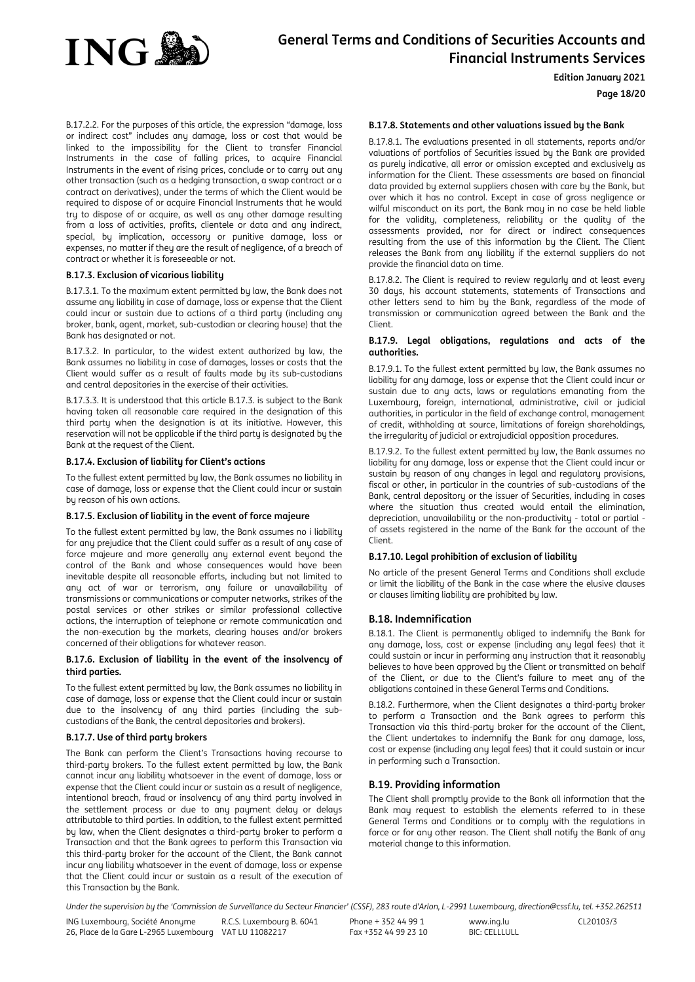

**Edition January 2021**

#### **Page 18/20**

B.17.2.2. For the purposes of this article, the expression "damage, loss or indirect cost" includes any damage, loss or cost that would be linked to the impossibility for the Client to transfer Financial Instruments in the case of falling prices, to acquire Financial Instruments in the event of rising prices, conclude or to carry out any other transaction (such as a hedging transaction, a swap contract or a contract on derivatives), under the terms of which the Client would be required to dispose of or acquire Financial Instruments that he would try to dispose of or acquire, as well as any other damage resulting from a loss of activities, profits, clientele or data and any indirect, special, by implication, accessory or punitive damage, loss or expenses, no matter if they are the result of negligence, of a breach of contract or whether it is foreseeable or not.

#### **B.17.3. Exclusion of vicarious liability**

B.17.3.1. To the maximum extent permitted by law, the Bank does not assume any liability in case of damage, loss or expense that the Client could incur or sustain due to actions of a third party (including any broker, bank, agent, market, sub-custodian or clearing house) that the Bank has designated or not.

B.17.3.2. In particular, to the widest extent authorized by law, the Bank assumes no liability in case of damages, losses or costs that the Client would suffer as a result of faults made by its sub-custodians and central depositories in the exercise of their activities.

B.17.3.3. It is understood that this article B.17.3. is subject to the Bank having taken all reasonable care required in the designation of this third party when the designation is at its initiative. However, this reservation will not be applicable if the third party is designated by the Bank at the request of the Client.

#### **B.17.4. Exclusion of liability for Client's actions**

To the fullest extent permitted by law, the Bank assumes no liability in case of damage, loss or expense that the Client could incur or sustain by reason of his own actions.

#### **B.17.5. Exclusion of liability in the event of force majeure**

To the fullest extent permitted by law, the Bank assumes no i liability for any prejudice that the Client could suffer as a result of any case of force majeure and more generally any external event beyond the control of the Bank and whose consequences would have been inevitable despite all reasonable efforts, including but not limited to any act of war or terrorism, any failure or unavailability of transmissions or communications or computer networks, strikes of the postal services or other strikes or similar professional collective actions, the interruption of telephone or remote communication and the non-execution by the markets, clearing houses and/or brokers concerned of their obligations for whatever reason.

#### **B.17.6. Exclusion of liability in the event of the insolvency of third parties.**

To the fullest extent permitted by law, the Bank assumes no liability in case of damage, loss or expense that the Client could incur or sustain due to the insolvency of any third parties (including the subcustodians of the Bank, the central depositories and brokers).

#### **B.17.7. Use of third party brokers**

The Bank can perform the Client's Transactions having recourse to third-party brokers. To the fullest extent permitted by law, the Bank cannot incur any liability whatsoever in the event of damage, loss or expense that the Client could incur or sustain as a result of negligence, intentional breach, fraud or insolvency of any third party involved in the settlement process or due to any payment delay or delays attributable to third parties. In addition, to the fullest extent permitted by law, when the Client designates a third-party broker to perform a Transaction and that the Bank agrees to perform this Transaction via this third-party broker for the account of the Client, the Bank cannot incur any liability whatsoever in the event of damage, loss or expense that the Client could incur or sustain as a result of the execution of this Transaction by the Bank.

#### **B.17.8. Statements and other valuations issued by the Bank**

B.17.8.1. The evaluations presented in all statements, reports and/or valuations of portfolios of Securities issued by the Bank are provided as purely indicative, all error or omission excepted and exclusively as information for the Client. These assessments are based on financial data provided by external suppliers chosen with care by the Bank, but over which it has no control. Except in case of gross negligence or wilful misconduct on its part, the Bank may in no case be held liable for the validity, completeness, reliability or the quality of the assessments provided, nor for direct or indirect consequences resulting from the use of this information by the Client. The Client releases the Bank from any liability if the external suppliers do not provide the financial data on time.

B.17.8.2. The Client is required to review regularly and at least every 30 days, his account statements, statements of Transactions and other letters send to him by the Bank, regardless of the mode of transmission or communication agreed between the Bank and the Client.

#### **B.17.9. Legal obligations, regulations and acts of the authorities.**

B.17.9.1. To the fullest extent permitted by law, the Bank assumes no liability for any damage, loss or expense that the Client could incur or sustain due to any acts, laws or regulations emanating from the Luxembourg, foreign, international, administrative, civil or judicial authorities, in particular in the field of exchange control, management of credit, withholding at source, limitations of foreign shareholdings, the irregularity of judicial or extrajudicial opposition procedures.

B.17.9.2. To the fullest extent permitted by law, the Bank assumes no liability for any damage, loss or expense that the Client could incur or sustain by reason of any changes in legal and regulatory provisions, fiscal or other, in particular in the countries of sub-custodians of the Bank, central depository or the issuer of Securities, including in cases where the situation thus created would entail the elimination, depreciation, unavailability or the non-productivity - total or partial of assets registered in the name of the Bank for the account of the Client.

#### **B.17.10. Legal prohibition of exclusion of liability**

No article of the present General Terms and Conditions shall exclude or limit the liability of the Bank in the case where the elusive clauses or clauses limiting liability are prohibited by law.

#### <span id="page-17-0"></span>**B.18. Indemnification**

B.18.1. The Client is permanently obliged to indemnify the Bank for any damage, loss, cost or expense (including any legal fees) that it could sustain or incur in performing any instruction that it reasonably believes to have been approved by the Client or transmitted on behalf of the Client, or due to the Client's failure to meet any of the obligations contained in these General Terms and Conditions.

B.18.2. Furthermore, when the Client designates a third-party broker to perform a Transaction and the Bank agrees to perform this Transaction via this third-party broker for the account of the Client, the Client undertakes to indemnify the Bank for any damage, loss, cost or expense (including any legal fees) that it could sustain or incur in performing such a Transaction.

#### <span id="page-17-1"></span>**B.19. Providing information**

The Client shall promptly provide to the Bank all information that the Bank may request to establish the elements referred to in these General Terms and Conditions or to comply with the regulations in force or for any other reason. The Client shall notify the Bank of any material change to this information.

Under the supervision by the 'Commission de Surveillance du Secteur Financier' (CSSF), 283 route d'Arlon, L-2991 Luxembourg, direction@cssf.lu, tel. +352.262511

ING Luxembourg, Société Anonyme 26, Place de la Gare L-2965 Luxembourg VAT LU 11082217 R.C.S. Luxembourg B. 6041 Phone + 352 44 99 1 Fax +352 44 99 23 10 www.ing.lu BIC: CELLLULL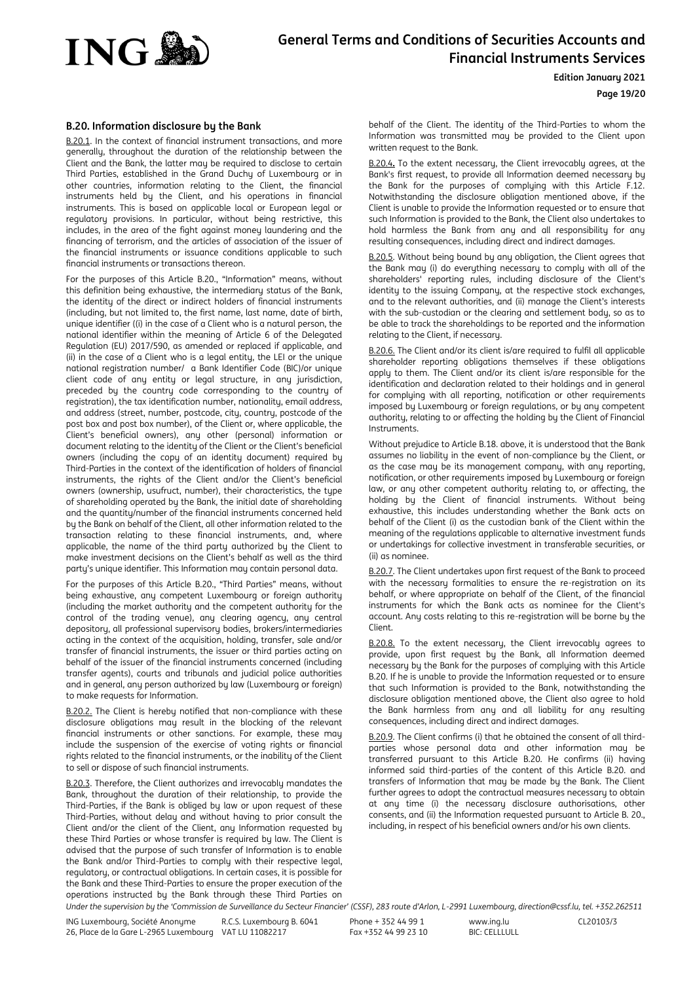

#### **Edition January 2021**

**Page 19/20**

## <span id="page-18-0"></span>**B.20. Information disclosure by the Bank**

B.20.1. In the context of financial instrument transactions, and more generally, throughout the duration of the relationship between the Client and the Bank, the latter may be required to disclose to certain Third Parties, established in the Grand Duchy of Luxembourg or in other countries, information relating to the Client, the financial instruments held by the Client, and his operations in financial instruments. This is based on applicable local or European legal or regulatory provisions. In particular, without being restrictive, this includes, in the area of the fight against money laundering and the financing of terrorism, and the articles of association of the issuer of the financial instruments or issuance conditions applicable to such financial instruments or transactions thereon.

For the purposes of this Article B.20., "Information" means, without this definition being exhaustive, the intermediary status of the Bank, the identity of the direct or indirect holders of financial instruments (including, but not limited to, the first name, last name, date of birth, unique identifier ((i) in the case of a Client who is a natural person, the national identifier within the meaning of Article 6 of the Delegated Regulation (EU) 2017/590, as amended or replaced if applicable, and (ii) in the case of a Client who is a legal entity, the LEI or the unique national registration number/ a Bank Identifier Code (BIC)/or unique client code of any entity or legal structure, in any jurisdiction, preceded by the country code corresponding to the country of registration), the tax identification number, nationality, email address, and address (street, number, postcode, city, country, postcode of the post box and post box number), of the Client or, where applicable, the Client's beneficial owners), any other (personal) information or document relating to the identity of the Client or the Client's beneficial owners (including the copy of an identity document) required by Third-Parties in the context of the identification of holders of financial instruments, the rights of the Client and/or the Client's beneficial owners (ownership, usufruct, number), their characteristics, the type of shareholding operated by the Bank, the initial date of shareholding and the quantity/number of the financial instruments concerned held by the Bank on behalf of the Client, all other information related to the transaction relating to these financial instruments, and, where applicable, the name of the third party authorized by the Client to make investment decisions on the Client's behalf as well as the third party's unique identifier. This Information may contain personal data.

For the purposes of this Article B.20., "Third Parties" means, without being exhaustive, any competent Luxembourg or foreign authority (including the market authority and the competent authority for the control of the trading venue), any clearing agency, any central depository, all professional supervisory bodies, brokers/intermediaries acting in the context of the acquisition, holding, transfer, sale and/or transfer of financial instruments, the issuer or third parties acting on behalf of the issuer of the financial instruments concerned (including transfer agents), courts and tribunals and judicial police authorities and in general, any person authorized by law (Luxembourg or foreign) to make requests for Information.

B.20.2. The Client is hereby notified that non-compliance with these disclosure obligations may result in the blocking of the relevant financial instruments or other sanctions. For example, these may include the suspension of the exercise of voting rights or financial rights related to the financial instruments, or the inability of the Client to sell or dispose of such financial instruments.

Under the supervision by the 'Commission de Surveillance du Secteur Financier' (CSSF), 283 route d'Arlon, L-2991 Luxembourg, direction@cssf.lu, tel. +352.262511 B.20.3. Therefore, the Client authorizes and irrevocably mandates the Bank, throughout the duration of their relationship, to provide the Third-Parties, if the Bank is obliged by law or upon request of these Third-Parties, without delay and without having to prior consult the Client and/or the client of the Client, any Information requested by these Third Parties or whose transfer is required by law. The Client is advised that the purpose of such transfer of Information is to enable the Bank and/or Third-Parties to comply with their respective legal, regulatory, or contractual obligations. In certain cases, it is possible for the Bank and these Third-Parties to ensure the proper execution of the operations instructed by the Bank through these Third Parties on

behalf of the Client. The identity of the Third-Parties to whom the Information was transmitted may be provided to the Client upon written request to the Bank.

B.20.4**.** To the extent necessary, the Client irrevocably agrees, at the Bank's first request, to provide all Information deemed necessary by the Bank for the purposes of complying with this Article F.12. Notwithstanding the disclosure obligation mentioned above, if the Client is unable to provide the Information requested or to ensure that such Information is provided to the Bank, the Client also undertakes to hold harmless the Bank from any and all responsibility for any resulting consequences, including direct and indirect damages.

B.20.5. Without being bound by any obligation, the Client agrees that the Bank may (i) do everything necessary to comply with all of the shareholders' reporting rules, including disclosure of the Client's identity to the issuing Company, at the respective stock exchanges, and to the relevant authorities, and (ii) manage the Client's interests with the sub-custodian or the clearing and settlement body, so as to be able to track the shareholdings to be reported and the information relating to the Client, if necessary.

B.20.6. The Client and/or its client is/are required to fulfil all applicable shareholder reporting obligations themselves if these obligations apply to them. The Client and/or its client is/are responsible for the identification and declaration related to their holdings and in general for complying with all reporting, notification or other requirements imposed by Luxembourg or foreign regulations, or by any competent authority, relating to or affecting the holding by the Client of Financial Instruments.

Without prejudice to Article B.18. above, it is understood that the Bank assumes no liability in the event of non-compliance by the Client, or as the case may be its management company, with any reporting, notification, or other requirements imposed by Luxembourg or foreign law, or any other competent authority relating to, or affecting, the holding by the Client of financial instruments. Without being exhaustive, this includes understanding whether the Bank acts on behalf of the Client (i) as the custodian bank of the Client within the meaning of the regulations applicable to alternative investment funds or undertakings for collective investment in transferable securities, or (ii) as nominee.

B.20.7. The Client undertakes upon first request of the Bank to proceed with the necessary formalities to ensure the re-registration on its behalf, or where appropriate on behalf of the Client, of the financial instruments for which the Bank acts as nominee for the Client's account. Any costs relating to this re-registration will be borne by the Client.

B.20.8. To the extent necessary, the Client irrevocably agrees to provide, upon first request by the Bank, all Information deemed necessary by the Bank for the purposes of complying with this Article B.20. If he is unable to provide the Information requested or to ensure that such Information is provided to the Bank, notwithstanding the disclosure obligation mentioned above, the Client also agree to hold the Bank harmless from any and all liability for any resulting consequences, including direct and indirect damages.

B.20.9. The Client confirms (i) that he obtained the consent of all thirdparties whose personal data and other information may be transferred pursuant to this Article B.20. He confirms (ii) having informed said third-parties of the content of this Article B.20. and transfers of Information that may be made by the Bank. The Client further agrees to adopt the contractual measures necessary to obtain at any time (i) the necessary disclosure authorisations, other consents, and (ii) the Information requested pursuant to Article B. 20., including, in respect of his beneficial owners and/or his own clients.

ING Luxembourg, Société Anonyme 26, Place de la Gare L-2965 Luxembourg VAT LU 11082217 R.C.S. Luxembourg B. 6041

Phone + 352 44 99 1 Fax +352 44 99 23 10

www.ing.lu BIC: CELLLULL